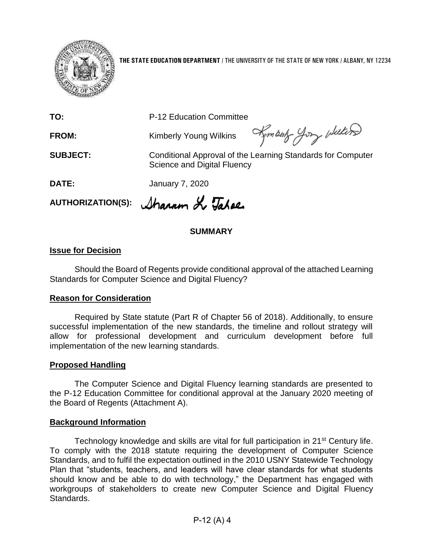

**THE STATE EDUCATION DEPARTMENT** / THE UNIVERSITY OF THE STATE OF NEW YORK / ALBANY, NY 12234

**TO:** P-12 Education Committee

**FROM:** Kimberly Young Wilkins

Kymbark Jory Wellers

**SUBJECT:** Conditional Approval of the Learning Standards for Computer Science and Digital Fluency

**DATE:** January 7, 2020

AUTHORIZATION(S): *Sharam & Tahee* 

#### **SUMMARY**

#### **Issue for Decision**

Should the Board of Regents provide conditional approval of the attached Learning Standards for Computer Science and Digital Fluency?

#### **Reason for Consideration**

Required by State statute (Part R of Chapter 56 of 2018). Additionally, to ensure successful implementation of the new standards, the timeline and rollout strategy will allow for professional development and curriculum development before full implementation of the new learning standards.

#### **Proposed Handling**

The Computer Science and Digital Fluency learning standards are presented to the P-12 Education Committee for conditional approval at the January 2020 meeting of the Board of Regents (Attachment A).

#### **Background Information**

Technology knowledge and skills are vital for full participation in 21<sup>st</sup> Century life. To comply with the 2018 statute requiring the development of Computer Science Standards, and to fulfil the expectation outlined in the 2010 USNY Statewide Technology Plan that "students, teachers, and leaders will have clear standards for what students should know and be able to do with technology," the Department has engaged with workgroups of stakeholders to create new Computer Science and Digital Fluency Standards.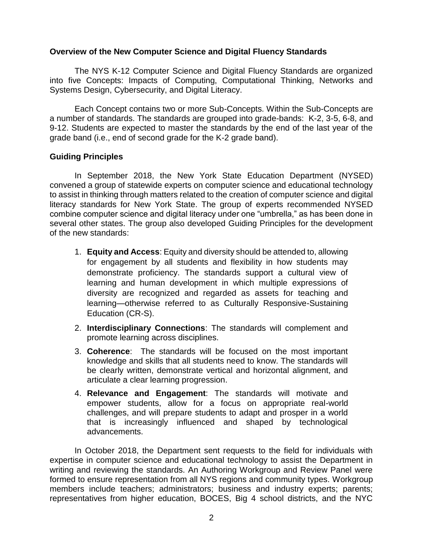#### **Overview of the New Computer Science and Digital Fluency Standards**

The NYS K-12 Computer Science and Digital Fluency Standards are organized into five Concepts: Impacts of Computing, Computational Thinking, Networks and Systems Design, Cybersecurity, and Digital Literacy.

Each Concept contains two or more Sub-Concepts. Within the Sub-Concepts are a number of standards. The standards are grouped into grade-bands: K-2, 3-5, 6-8, and 9-12. Students are expected to master the standards by the end of the last year of the grade band (i.e., end of second grade for the K-2 grade band).

#### **Guiding Principles**

In September 2018, the New York State Education Department (NYSED) convened a group of statewide experts on computer science and educational technology to assist in thinking through matters related to the creation of computer science and digital literacy standards for New York State. The group of experts recommended NYSED combine computer science and digital literacy under one "umbrella," as has been done in several other states. The group also developed Guiding Principles for the development of the new standards:

- 1. **Equity and Access**: Equity and diversity should be attended to, allowing for engagement by all students and flexibility in how students may demonstrate proficiency. The standards support a cultural view of learning and human development in which multiple expressions of diversity are recognized and regarded as assets for teaching and learning—otherwise referred to as Culturally Responsive-Sustaining Education (CR-S).
- 2. **Interdisciplinary Connections**: The standards will complement and promote learning across disciplines.
- 3. **Coherence**: The standards will be focused on the most important knowledge and skills that all students need to know. The standards will be clearly written, demonstrate vertical and horizontal alignment, and articulate a clear learning progression.
- 4. **Relevance and Engagement**: The standards will motivate and empower students, allow for a focus on appropriate real-world challenges, and will prepare students to adapt and prosper in a world that is increasingly influenced and shaped by technological advancements.

In October 2018, the Department sent requests to the field for individuals with expertise in computer science and educational technology to assist the Department in writing and reviewing the standards. An Authoring Workgroup and Review Panel were formed to ensure representation from all NYS regions and community types. Workgroup members include teachers; administrators; business and industry experts; parents; representatives from higher education, BOCES, Big 4 school districts, and the NYC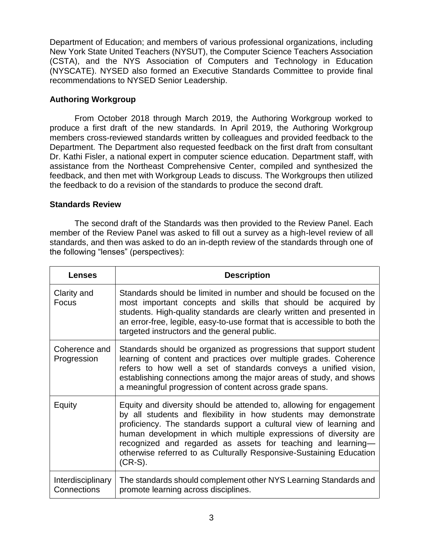Department of Education; and members of various professional organizations, including New York State United Teachers (NYSUT), the Computer Science Teachers Association (CSTA), and the NYS Association of Computers and Technology in Education (NYSCATE). NYSED also formed an Executive Standards Committee to provide final recommendations to NYSED Senior Leadership.

### **Authoring Workgroup**

From October 2018 through March 2019, the Authoring Workgroup worked to produce a first draft of the new standards. In April 2019, the Authoring Workgroup members cross-reviewed standards written by colleagues and provided feedback to the Department. The Department also requested feedback on the first draft from consultant Dr. Kathi Fisler, a national expert in computer science education. Department staff, with assistance from the Northeast Comprehensive Center, compiled and synthesized the feedback, and then met with Workgroup Leads to discuss. The Workgroups then utilized the feedback to do a revision of the standards to produce the second draft.

#### **Standards Review**

The second draft of the Standards was then provided to the Review Panel. Each member of the Review Panel was asked to fill out a survey as a high-level review of all standards, and then was asked to do an in-depth review of the standards through one of the following "lenses" (perspectives):

| <b>Lenses</b>                           | <b>Description</b>                                                                                                                                                                                                                                                                                                                                                                                                                    |
|-----------------------------------------|---------------------------------------------------------------------------------------------------------------------------------------------------------------------------------------------------------------------------------------------------------------------------------------------------------------------------------------------------------------------------------------------------------------------------------------|
| Clarity and<br><b>Focus</b>             | Standards should be limited in number and should be focused on the<br>most important concepts and skills that should be acquired by<br>students. High-quality standards are clearly written and presented in<br>an error-free, legible, easy-to-use format that is accessible to both the<br>targeted instructors and the general public.                                                                                             |
| Coherence and<br>Progression            | Standards should be organized as progressions that support student<br>learning of content and practices over multiple grades. Coherence<br>refers to how well a set of standards conveys a unified vision,<br>establishing connections among the major areas of study, and shows<br>a meaningful progression of content across grade spans.                                                                                           |
| Equity                                  | Equity and diversity should be attended to, allowing for engagement<br>by all students and flexibility in how students may demonstrate<br>proficiency. The standards support a cultural view of learning and<br>human development in which multiple expressions of diversity are<br>recognized and regarded as assets for teaching and learning-<br>otherwise referred to as Culturally Responsive-Sustaining Education<br>$(CR-S)$ . |
| <b>Interdisciplinary</b><br>Connections | The standards should complement other NYS Learning Standards and<br>promote learning across disciplines.                                                                                                                                                                                                                                                                                                                              |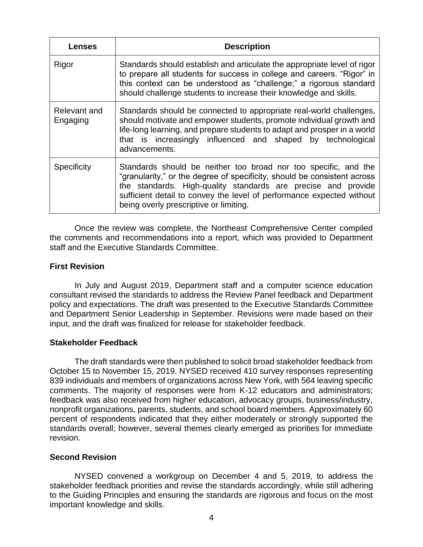| <b>Lenses</b>            | <b>Description</b>                                                                                                                                                                                                                                                                                                              |
|--------------------------|---------------------------------------------------------------------------------------------------------------------------------------------------------------------------------------------------------------------------------------------------------------------------------------------------------------------------------|
| Rigor                    | Standards should establish and articulate the appropriate level of rigor<br>to prepare all students for success in college and careers. "Rigor" in<br>this context can be understood as "challenge;" a rigorous standard<br>should challenge students to increase their knowledge and skills.                                   |
| Relevant and<br>Engaging | Standards should be connected to appropriate real-world challenges,<br>should motivate and empower students, promote individual growth and<br>life-long learning, and prepare students to adapt and prosper in a world<br>that is increasingly influenced and shaped by technological<br>advancements.                          |
| <b>Specificity</b>       | Standards should be neither too broad nor too specific, and the<br>"granularity," or the degree of specificity, should be consistent across<br>the standards. High-quality standards are precise and provide<br>sufficient detail to convey the level of performance expected without<br>being overly prescriptive or limiting. |

Once the review was complete, the Northeast Comprehensive Center compiled the comments and recommendations into a report, which was provided to Department staff and the Executive Standards Committee.

#### **First Revision**

In July and August 2019, Department staff and a computer science education consultant revised the standards to address the Review Panel feedback and Department policy and expectations. The draft was presented to the Executive Standards Committee and Department Senior Leadership in September. Revisions were made based on their input, and the draft was finalized for release for stakeholder feedback.

#### **Stakeholder Feedback**

The draft standards were then published to solicit broad stakeholder feedback from October 15 to November 15, 2019. NYSED received 410 survey responses representing 839 individuals and members of organizations across New York, with 564 leaving specific comments. The majority of responses were from K-12 educators and administrators; feedback was also received from higher education, advocacy groups, business/industry, nonprofit organizations, parents, students, and school board members. Approximately 60 percent of respondents indicated that they either moderately or strongly supported the standards overall; however, several themes clearly emerged as priorities for immediate revision.

#### **Second Revision**

NYSED convened a workgroup on December 4 and 5, 2019, to address the stakeholder feedback priorities and revise the standards accordingly, while still adhering to the Guiding Principles and ensuring the standards are rigorous and focus on the most important knowledge and skills.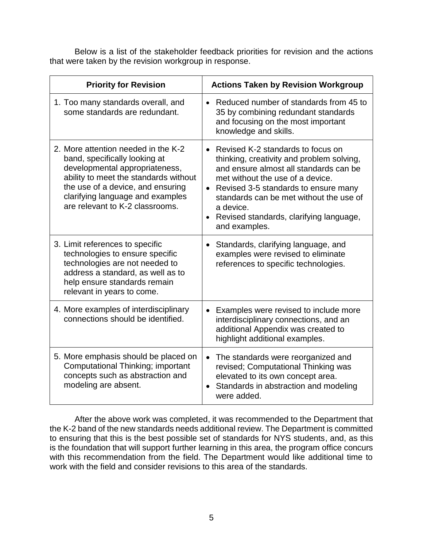Below is a list of the stakeholder feedback priorities for revision and the actions that were taken by the revision workgroup in response.

| <b>Priority for Revision</b>                                                                                                                                                                                                                                | <b>Actions Taken by Revision Workgroup</b>                                                                                                                                                                                                                                                                                              |  |
|-------------------------------------------------------------------------------------------------------------------------------------------------------------------------------------------------------------------------------------------------------------|-----------------------------------------------------------------------------------------------------------------------------------------------------------------------------------------------------------------------------------------------------------------------------------------------------------------------------------------|--|
| 1. Too many standards overall, and<br>some standards are redundant.                                                                                                                                                                                         | • Reduced number of standards from 45 to<br>35 by combining redundant standards<br>and focusing on the most important<br>knowledge and skills.                                                                                                                                                                                          |  |
| 2. More attention needed in the K-2<br>band, specifically looking at<br>developmental appropriateness,<br>ability to meet the standards without<br>the use of a device, and ensuring<br>clarifying language and examples<br>are relevant to K-2 classrooms. | • Revised K-2 standards to focus on<br>thinking, creativity and problem solving,<br>and ensure almost all standards can be<br>met without the use of a device.<br>Revised 3-5 standards to ensure many<br>$\bullet$<br>standards can be met without the use of<br>a device.<br>Revised standards, clarifying language,<br>and examples. |  |
| 3. Limit references to specific<br>technologies to ensure specific<br>technologies are not needed to<br>address a standard, as well as to<br>help ensure standards remain<br>relevant in years to come.                                                     | Standards, clarifying language, and<br>$\bullet$<br>examples were revised to eliminate<br>references to specific technologies.                                                                                                                                                                                                          |  |
| 4. More examples of interdisciplinary<br>connections should be identified.                                                                                                                                                                                  | Examples were revised to include more<br>interdisciplinary connections, and an<br>additional Appendix was created to<br>highlight additional examples.                                                                                                                                                                                  |  |
| 5. More emphasis should be placed on<br>Computational Thinking; important<br>concepts such as abstraction and<br>modeling are absent.                                                                                                                       | The standards were reorganized and<br>$\bullet$<br>revised; Computational Thinking was<br>elevated to its own concept area.<br>Standards in abstraction and modeling<br>were added.                                                                                                                                                     |  |

After the above work was completed, it was recommended to the Department that the K-2 band of the new standards needs additional review. The Department is committed to ensuring that this is the best possible set of standards for NYS students, and, as this is the foundation that will support further learning in this area, the program office concurs with this recommendation from the field. The Department would like additional time to work with the field and consider revisions to this area of the standards.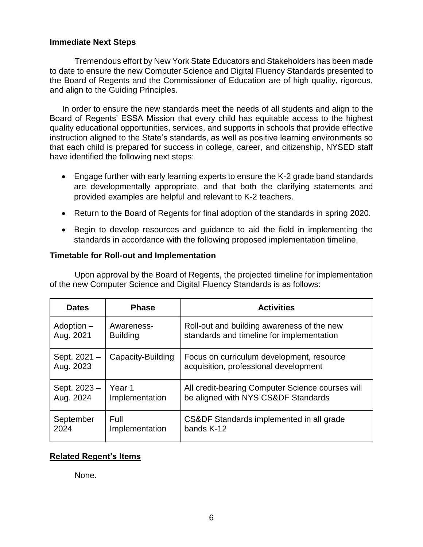#### **Immediate Next Steps**

Tremendous effort by New York State Educators and Stakeholders has been made to date to ensure the new Computer Science and Digital Fluency Standards presented to the Board of Regents and the Commissioner of Education are of high quality, rigorous, and align to the Guiding Principles.

In order to ensure the new standards meet the needs of all students and align to the Board of Regents' ESSA Mission that every child has equitable access to the highest quality educational opportunities, services, and supports in schools that provide effective instruction aligned to the State's standards, as well as positive learning environments so that each child is prepared for success in college, career, and citizenship, NYSED staff have identified the following next steps:

- Engage further with early learning experts to ensure the K-2 grade band standards are developmentally appropriate, and that both the clarifying statements and provided examples are helpful and relevant to K-2 teachers.
- Return to the Board of Regents for final adoption of the standards in spring 2020.
- Begin to develop resources and guidance to aid the field in implementing the standards in accordance with the following proposed implementation timeline.

#### **Timetable for Roll-out and Implementation**

Upon approval by the Board of Regents, the projected timeline for implementation of the new Computer Science and Digital Fluency Standards is as follows:

| <b>Dates</b>             | <b>Phase</b>      | <b>Activities</b>                                                                  |
|--------------------------|-------------------|------------------------------------------------------------------------------------|
| Adoption –               | Awareness-        | Roll-out and building awareness of the new                                         |
| Aug. 2021                | <b>Building</b>   | standards and timeline for implementation                                          |
| Sept. 2021-<br>Aug. 2023 | Capacity-Building | Focus on curriculum development, resource<br>acquisition, professional development |
| Sept. 2023 -             | Year 1            | All credit-bearing Computer Science courses will                                   |
| Aug. 2024                | Implementation    | be aligned with NYS CS&DF Standards                                                |
| September                | <b>Full</b>       | CS&DF Standards implemented in all grade                                           |
| 2024                     | Implementation    | bands K-12                                                                         |

#### **Related Regent's Items**

None.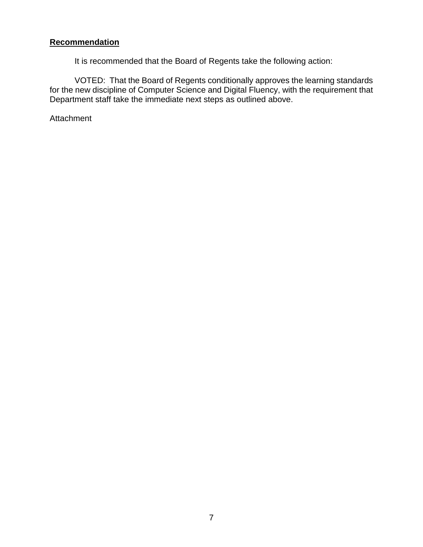#### **Recommendation**

It is recommended that the Board of Regents take the following action:

VOTED: That the Board of Regents conditionally approves the learning standards for the new discipline of Computer Science and Digital Fluency, with the requirement that Department staff take the immediate next steps as outlined above.

**Attachment**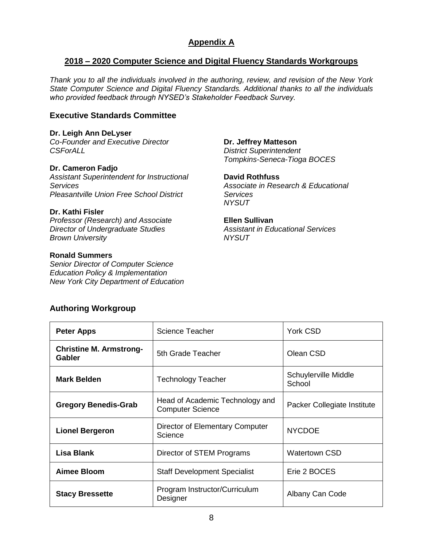### **Appendix A**

#### **2018 – 2020 Computer Science and Digital Fluency Standards Workgroups**

*Thank you to all the individuals involved in the authoring, review, and revision of the New York State Computer Science and Digital Fluency Standards. Additional thanks to all the individuals who provided feedback through NYSED's Stakeholder Feedback Survey.*

#### **Executive Standards Committee**

**Dr. Leigh Ann DeLyser**

*Co-Founder and Executive Director CSForALL*

#### **Dr. Cameron Fadjo**

*Assistant Superintendent for Instructional Services Pleasantville Union Free School District*

#### **Dr. Kathi Fisler**

*Professor (Research) and Associate Director of Undergraduate Studies Brown University*

#### **Ronald Summers**

*Senior Director of Computer Science Education Policy & Implementation New York City Department of Education* **Dr. Jeffrey Matteson** *District Superintendent Tompkins-Seneca-Tioga BOCES*

**David Rothfuss** *Associate in Research & Educational Services NYSUT*

**Ellen Sullivan** *Assistant in Educational Services NYSUT*

#### **Authoring Workgroup**

| <b>Peter Apps</b>                        | <b>Science Teacher</b>                                     | York CSD                       |
|------------------------------------------|------------------------------------------------------------|--------------------------------|
| <b>Christine M. Armstrong-</b><br>Gabler | 5th Grade Teacher                                          | Olean CSD                      |
| <b>Mark Belden</b>                       | <b>Technology Teacher</b>                                  | Schuylerville Middle<br>School |
| <b>Gregory Benedis-Grab</b>              | Head of Academic Technology and<br><b>Computer Science</b> | Packer Collegiate Institute    |
| <b>Lionel Bergeron</b>                   | Director of Elementary Computer<br>Science                 | <b>NYCDOE</b>                  |
| <b>Lisa Blank</b>                        | Director of STEM Programs                                  | <b>Watertown CSD</b>           |
| Aimee Bloom                              | <b>Staff Development Specialist</b>                        | Erie 2 BOCES                   |
| <b>Stacy Bressette</b>                   | Program Instructor/Curriculum<br>Designer                  | Albany Can Code                |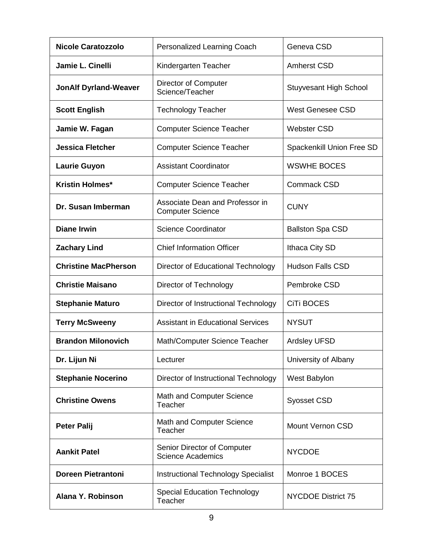| <b>Nicole Caratozzolo</b>    | Personalized Learning Coach                                | Geneva CSD                       |
|------------------------------|------------------------------------------------------------|----------------------------------|
| Jamie L. Cinelli             | Kindergarten Teacher                                       | <b>Amherst CSD</b>               |
| <b>JonAlf Dyrland-Weaver</b> | <b>Director of Computer</b><br>Science/Teacher             | <b>Stuyvesant High School</b>    |
| <b>Scott English</b>         | <b>Technology Teacher</b>                                  | <b>West Genesee CSD</b>          |
| Jamie W. Fagan               | <b>Computer Science Teacher</b>                            | <b>Webster CSD</b>               |
| <b>Jessica Fletcher</b>      | <b>Computer Science Teacher</b>                            | <b>Spackenkill Union Free SD</b> |
| <b>Laurie Guyon</b>          | <b>Assistant Coordinator</b>                               | <b>WSWHE BOCES</b>               |
| <b>Kristin Holmes*</b>       | <b>Computer Science Teacher</b>                            | Commack CSD                      |
| Dr. Susan Imberman           | Associate Dean and Professor in<br><b>Computer Science</b> | <b>CUNY</b>                      |
| <b>Diane Irwin</b>           | <b>Science Coordinator</b>                                 | <b>Ballston Spa CSD</b>          |
| <b>Zachary Lind</b>          | <b>Chief Information Officer</b>                           | Ithaca City SD                   |
| <b>Christine MacPherson</b>  | Director of Educational Technology                         | <b>Hudson Falls CSD</b>          |
| <b>Christie Maisano</b>      | Director of Technology                                     | Pembroke CSD                     |
| <b>Stephanie Maturo</b>      | Director of Instructional Technology                       | <b>CiTi BOCES</b>                |
| <b>Terry McSweeny</b>        | <b>Assistant in Educational Services</b>                   | <b>NYSUT</b>                     |
| <b>Brandon Milonovich</b>    | Math/Computer Science Teacher                              | <b>Ardsley UFSD</b>              |
| Dr. Lijun Ni                 | Lecturer                                                   | University of Albany             |
| <b>Stephanie Nocerino</b>    | Director of Instructional Technology                       | West Babylon                     |
| <b>Christine Owens</b>       | Math and Computer Science<br>Teacher                       | <b>Syosset CSD</b>               |
| <b>Peter Palij</b>           | Math and Computer Science<br>Teacher                       | <b>Mount Vernon CSD</b>          |
| <b>Aankit Patel</b>          | Senior Director of Computer<br><b>Science Academics</b>    | <b>NYCDOE</b>                    |
| <b>Doreen Pietrantoni</b>    | <b>Instructional Technology Specialist</b>                 | Monroe 1 BOCES                   |
| Alana Y. Robinson            | <b>Special Education Technology</b><br>Teacher             | <b>NYCDOE District 75</b>        |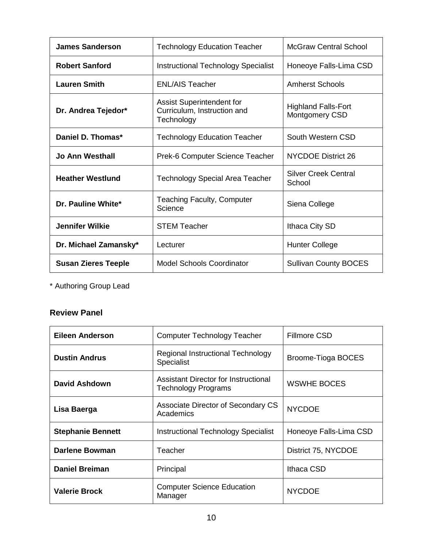| <b>James Sanderson</b>     | <b>Technology Education Teacher</b>                                           | <b>McGraw Central School</b>                 |
|----------------------------|-------------------------------------------------------------------------------|----------------------------------------------|
| <b>Robert Sanford</b>      | <b>Instructional Technology Specialist</b>                                    | Honeoye Falls-Lima CSD                       |
| <b>Lauren Smith</b>        | <b>ENL/AIS Teacher</b>                                                        | <b>Amherst Schools</b>                       |
| Dr. Andrea Tejedor*        | <b>Assist Superintendent for</b><br>Curriculum, Instruction and<br>Technology | <b>Highland Falls-Fort</b><br>Montgomery CSD |
| Daniel D. Thomas*          | <b>Technology Education Teacher</b>                                           | South Western CSD                            |
| Jo Ann Westhall            | Prek-6 Computer Science Teacher                                               | <b>NYCDOE District 26</b>                    |
| <b>Heather Westlund</b>    | <b>Technology Special Area Teacher</b>                                        | <b>Silver Creek Central</b><br>School        |
| Dr. Pauline White*         | <b>Teaching Faculty, Computer</b><br>Science                                  | Siena College                                |
| <b>Jennifer Wilkie</b>     | <b>STEM Teacher</b>                                                           | Ithaca City SD                               |
| Dr. Michael Zamansky*      | Lecturer                                                                      | Hunter College                               |
| <b>Susan Zieres Teeple</b> | <b>Model Schools Coordinator</b>                                              | <b>Sullivan County BOCES</b>                 |

\* Authoring Group Lead

### **Review Panel**

| <b>Eileen Anderson</b>   | Computer Technology Teacher                                               | <b>Fillmore CSD</b>    |
|--------------------------|---------------------------------------------------------------------------|------------------------|
| <b>Dustin Andrus</b>     | Regional Instructional Technology<br><b>Specialist</b>                    | Broome-Tioga BOCES     |
| <b>David Ashdown</b>     | <b>Assistant Director for Instructional</b><br><b>Technology Programs</b> | <b>WSWHE BOCES</b>     |
| Lisa Baerga              | Associate Director of Secondary CS<br>Academics                           | <b>NYCDOE</b>          |
| <b>Stephanie Bennett</b> | <b>Instructional Technology Specialist</b>                                | Honeoye Falls-Lima CSD |
| <b>Darlene Bowman</b>    | Teacher                                                                   | District 75, NYCDOE    |
| <b>Daniel Breiman</b>    | Principal                                                                 | Ithaca CSD             |
| <b>Valerie Brock</b>     | <b>Computer Science Education</b><br>Manager                              | <b>NYCDOE</b>          |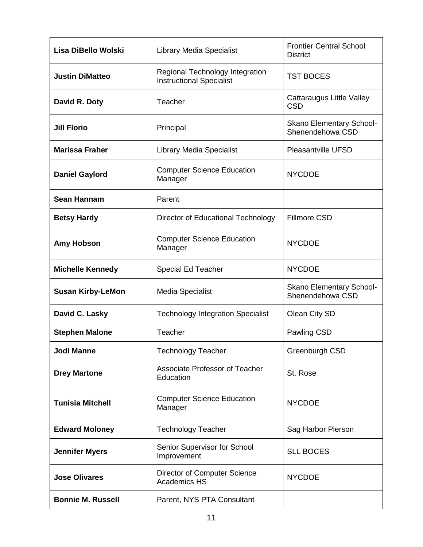| Lisa DiBello Wolski      | <b>Library Media Specialist</b>                                    | <b>Frontier Central School</b><br><b>District</b>   |
|--------------------------|--------------------------------------------------------------------|-----------------------------------------------------|
| <b>Justin DiMatteo</b>   | Regional Technology Integration<br><b>Instructional Specialist</b> | <b>TST BOCES</b>                                    |
| David R. Doty            | Teacher                                                            | Cattaraugus Little Valley<br><b>CSD</b>             |
| <b>Jill Florio</b>       | Principal                                                          | <b>Skano Elementary School-</b><br>Shenendehowa CSD |
| <b>Marissa Fraher</b>    | <b>Library Media Specialist</b>                                    | <b>Pleasantville UFSD</b>                           |
| <b>Daniel Gaylord</b>    | <b>Computer Science Education</b><br>Manager                       | <b>NYCDOE</b>                                       |
| <b>Sean Hannam</b>       | Parent                                                             |                                                     |
| <b>Betsy Hardy</b>       | Director of Educational Technology                                 | <b>Fillmore CSD</b>                                 |
| <b>Amy Hobson</b>        | <b>Computer Science Education</b><br>Manager                       | <b>NYCDOE</b>                                       |
| <b>Michelle Kennedy</b>  | <b>Special Ed Teacher</b>                                          | <b>NYCDOE</b>                                       |
| <b>Susan Kirby-LeMon</b> | <b>Media Specialist</b>                                            | Skano Elementary School-<br>Shenendehowa CSD        |
| David C. Lasky           | <b>Technology Integration Specialist</b>                           | Olean City SD                                       |
| <b>Stephen Malone</b>    | Teacher                                                            | Pawling CSD                                         |
| <b>Jodi Manne</b>        | <b>Technology Teacher</b>                                          | Greenburgh CSD                                      |
| <b>Drey Martone</b>      | Associate Professor of Teacher<br>Education                        | St. Rose                                            |
| <b>Tunisia Mitchell</b>  | <b>Computer Science Education</b><br>Manager                       | <b>NYCDOE</b>                                       |
| <b>Edward Moloney</b>    | <b>Technology Teacher</b>                                          | Sag Harbor Pierson                                  |
| <b>Jennifer Myers</b>    | Senior Supervisor for School<br>Improvement                        | <b>SLL BOCES</b>                                    |
| <b>Jose Olivares</b>     | <b>Director of Computer Science</b><br><b>Academics HS</b>         | <b>NYCDOE</b>                                       |
| <b>Bonnie M. Russell</b> | Parent, NYS PTA Consultant                                         |                                                     |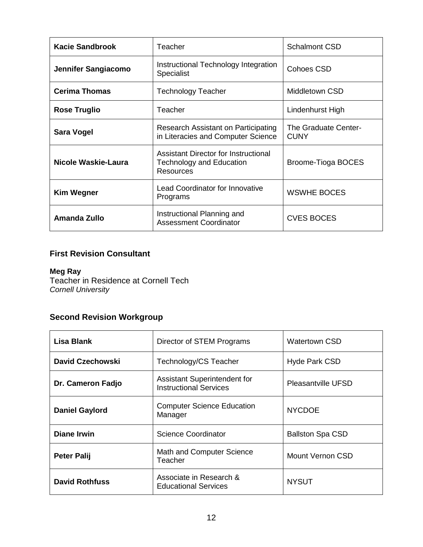| <b>Kacie Sandbrook</b> | Teacher                                                                                     | <b>Schalmont CSD</b>                       |
|------------------------|---------------------------------------------------------------------------------------------|--------------------------------------------|
| Jennifer Sangiacomo    | Instructional Technology Integration<br><b>Specialist</b>                                   | Cohoes CSD                                 |
| <b>Cerima Thomas</b>   | Technology Teacher                                                                          | Middletown CSD                             |
| <b>Rose Truglio</b>    | Teacher                                                                                     | Lindenhurst High                           |
| Sara Vogel             | Research Assistant on Participating<br>in Literacies and Computer Science                   | <b>The Graduate Center-</b><br><b>CUNY</b> |
| Nicole Waskie-Laura    | Assistant Director for Instructional<br><b>Technology and Education</b><br><b>Resources</b> | Broome-Tioga BOCES                         |
| <b>Kim Wegner</b>      | <b>Lead Coordinator for Innovative</b><br>Programs                                          | <b>WSWHE BOCES</b>                         |
| Amanda Zullo           | Instructional Planning and<br><b>Assessment Coordinator</b>                                 | <b>CVES BOCES</b>                          |

### **First Revision Consultant**

### **Meg Ray**

Teacher in Residence at Cornell Tech *Cornell University*

### **Second Revision Workgroup**

| <b>Lisa Blank</b>     | Director of STEM Programs                                            | <b>Watertown CSD</b>      |
|-----------------------|----------------------------------------------------------------------|---------------------------|
| David Czechowski      | Technology/CS Teacher                                                | <b>Hyde Park CSD</b>      |
| Dr. Cameron Fadjo     | <b>Assistant Superintendent for</b><br><b>Instructional Services</b> | <b>Pleasantville UFSD</b> |
| <b>Daniel Gaylord</b> | <b>Computer Science Education</b><br>Manager                         | <b>NYCDOE</b>             |
| <b>Diane Irwin</b>    | <b>Science Coordinator</b>                                           | <b>Ballston Spa CSD</b>   |
| <b>Peter Palij</b>    | Math and Computer Science<br>Teacher                                 | Mount Vernon CSD          |
| <b>David Rothfuss</b> | Associate in Research &<br><b>Educational Services</b>               | <b>NYSUT</b>              |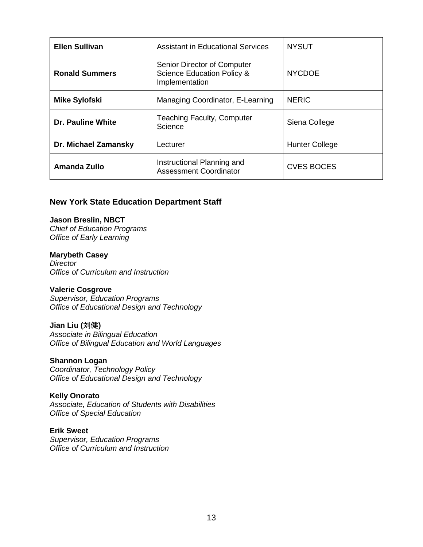| <b>Ellen Sullivan</b>    | Assistant in Educational Services                                                      | <b>NYSUT</b>          |
|--------------------------|----------------------------------------------------------------------------------------|-----------------------|
| <b>Ronald Summers</b>    | Senior Director of Computer<br><b>Science Education Policy &amp;</b><br>Implementation | <b>NYCDOE</b>         |
| <b>Mike Sylofski</b>     | Managing Coordinator, E-Learning                                                       | <b>NERIC</b>          |
| <b>Dr. Pauline White</b> | <b>Teaching Faculty, Computer</b><br>Science                                           | Siena College         |
| Dr. Michael Zamansky     | Lecturer                                                                               | <b>Hunter College</b> |
| Amanda Zullo             | Instructional Planning and<br><b>Assessment Coordinator</b>                            | <b>CVES BOCES</b>     |

#### **New York State Education Department Staff**

#### **Jason Breslin, NBCT**

*Chief of Education Programs Office of Early Learning*

#### **Marybeth Casey**

*Director Office of Curriculum and Instruction*

#### **Valerie Cosgrove**

*Supervisor, Education Programs Office of Educational Design and Technology*

#### **Jian Liu (**刘健**)**

*Associate in Bilingual Education [Office of Bilingual Education and World Languages](http://www.nysed.gov/program-offices/office-bilingual-education-and-world-languages-obewl)*

#### **Shannon Logan**

*Coordinator, Technology Policy Office of Educational Design and Technology*

#### **Kelly Onorato**

*Associate, Education of Students with Disabilities Office of Special Education*

#### **Erik Sweet**

*Supervisor, Education Programs Office of Curriculum and Instruction*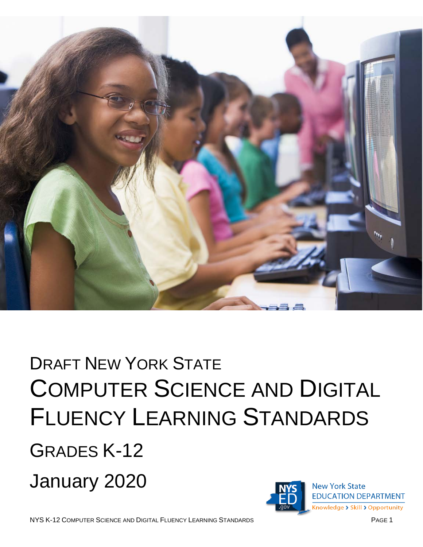

# DRAFT NEW YORK STATE COMPUTER SCIENCE AND DIGITAL FLUENCY LEARNING STANDARDS GRADES K-12 January 2020**New York State**

**EDUCATION DEPARTMENT** Knowledge > Skill > Opportunity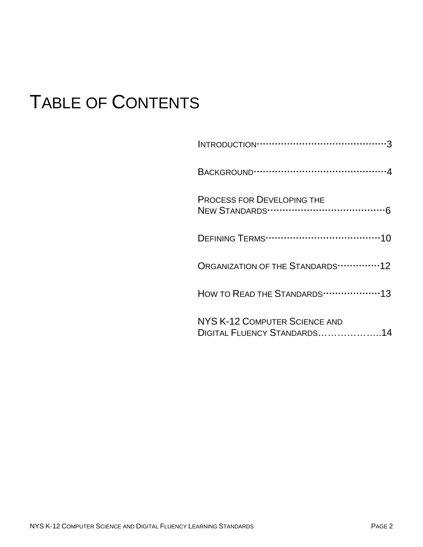# TABLE OF CONTENTS

| <b>PROCESS FOR DEVELOPING THE</b>                            |
|--------------------------------------------------------------|
|                                                              |
| ORGANIZATION OF THE STANDARDS 12                             |
| HOW TO READ THE STANDARDS 13                                 |
| NYS K-12 COMPUTER SCIENCE AND<br>DIGITAL FLUENCY STANDARDS14 |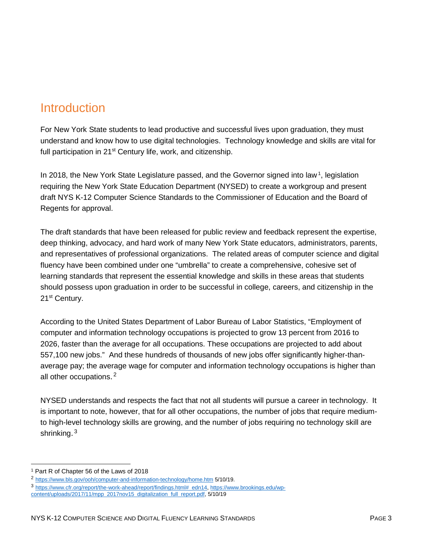# <span id="page-15-0"></span>**Introduction**

For New York State students to lead productive and successful lives upon graduation, they must understand and know how to use digital technologies. Technology knowledge and skills are vital for full participation in 21<sup>st</sup> Century life, work, and citizenship.

In 20[1](#page-15-1)8, the New York State Legislature passed, and the Governor signed into law<sup>1</sup>, legislation requiring the New York State Education Department (NYSED) to create a workgroup and present draft NYS K-12 Computer Science Standards to the Commissioner of Education and the Board of Regents for approval.

The draft standards that have been released for public review and feedback represent the expertise, deep thinking, advocacy, and hard work of many New York State educators, administrators, parents, and representatives of professional organizations. The related areas of computer science and digital fluency have been combined under one "umbrella" to create a comprehensive, cohesive set of learning standards that represent the essential knowledge and skills in these areas that students should possess upon graduation in order to be successful in college, careers, and citizenship in the 21<sup>st</sup> Century.

According to the United States Department of Labor Bureau of Labor Statistics, "Employment of computer and information technology occupations is projected to grow 13 percent from 2016 to 2026, faster than the average for all occupations. These occupations are projected to add about 557,100 new jobs." And these hundreds of thousands of new jobs offer significantly higher-thanaverage pay; the average wage for computer and information technology occupations is higher than all other occupations.<sup>[2](#page-15-2)</sup>

NYSED understands and respects the fact that not all students will pursue a career in technology. It is important to note, however, that for all other occupations, the number of jobs that require mediumto high-level technology skills are growing, and the number of jobs requiring no technology skill are shrinking.<sup>3</sup>

<span id="page-15-1"></span> <sup>1</sup> Part R of Chapter 56 of the Laws of 2018

<span id="page-15-2"></span><sup>2</sup> <https://www.bls.gov/ooh/computer-and-information-technology/home.htm> 5/10/19.

<span id="page-15-3"></span><sup>3</sup> [https://www.cfr.org/report/the-work-ahead/report/findings.html#\\_edn14,](https://www.cfr.org/report/the-work-ahead/report/findings.html#_edn14) [https://www.brookings.edu/wp-](https://www.brookings.edu/wp-content/uploads/2017/11/mpp_2017nov15_digitalization_full_report.pdf)

[content/uploads/2017/11/mpp\\_2017nov15\\_digitalization\\_full\\_report.pdf,](https://www.brookings.edu/wp-content/uploads/2017/11/mpp_2017nov15_digitalization_full_report.pdf) 5/10/19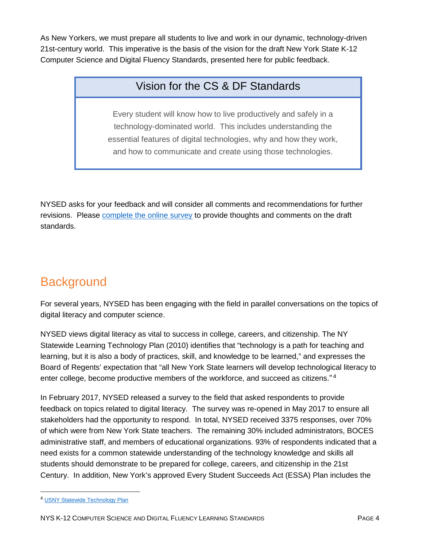As New Yorkers, we must prepare all students to live and work in our dynamic, technology-driven 21st-century world. This imperative is the basis of the vision for the draft New York State K-12 Computer Science and Digital Fluency Standards, presented here for public feedback.

### Vision for the CS & DF Standards

Every student will know how to live productively and safely in a technology-dominated world. This includes understanding the essential features of digital technologies, why and how they work, and how to communicate and create using those technologies.

NYSED asks for your feedback and will consider all comments and recommendations for further revisions. Please [complete the online survey](https://www.surveymonkey.com/r/DraftCSDFStandards) to provide thoughts and comments on the draft standards.

# <span id="page-16-0"></span>**Background**

For several years, NYSED has been engaging with the field in parallel conversations on the topics of digital literacy and computer science.

NYSED views digital literacy as vital to success in college, careers, and citizenship. The [NY](http://www.nysed.gov/edtech/schools/usny-technology-plan-leaders)  [Statewide Learning Technology Plan](http://www.nysed.gov/edtech/schools/usny-technology-plan-leaders) (2010) identifies that "technology is a path for teaching and learning, but it is also a body of practices, skill, and knowledge to be learned," and expresses the Board of Regents' expectation that "all New York State learners will develop technological literacy to enter college, become productive members of the workforce, and succeed as citizens." [4](#page-16-1)

In February 2017, NYSED released a survey to the field that asked respondents to provide feedback on topics related to digital literacy. The survey was re-opened in May 2017 to ensure all stakeholders had the opportunity to respond. In total, NYSED received 3375 responses, over 70% of which were from New York State teachers. The remaining 30% included administrators, BOCES administrative staff, and members of educational organizations. 93% of respondents indicated that a need exists for a common statewide understanding of the technology knowledge and skills all students should demonstrate to be prepared for college, careers, and citizenship in the 21st Century. In addition, New York's approved Every Student Succeeds Act (ESSA) Plan includes the

<span id="page-16-1"></span> <sup>4</sup> [USNY Statewide Technology Plan](http://www.nysed.gov/edtech/schools/usny-technology-plan-leaders)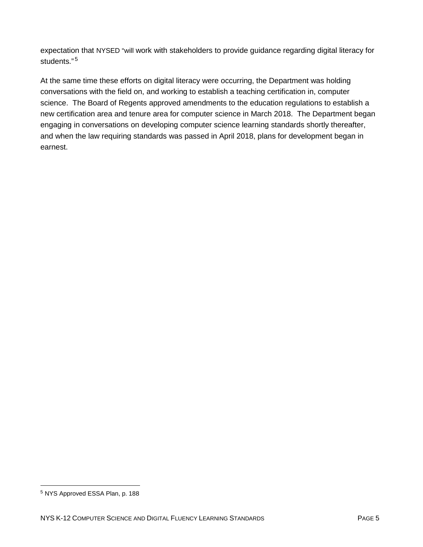expectation that NYSED "will work with stakeholders to provide guidance regarding digital literacy for students."<sup>[5](#page-17-1)</sup>

<span id="page-17-0"></span>At the same time these efforts on digital literacy were occurring, the Department was holding conversations with the field on, and working to establish a teaching certification in, computer science. The Board of Regents approved amendments to the education regulations to establish a new certification area and tenure area for computer science in March 2018. The Department began engaging in conversations on developing computer science learning standards shortly thereafter, and when the law requiring standards was passed in April 2018, plans for development began in earnest.

<span id="page-17-1"></span> <sup>5</sup> NYS Approved ESSA Plan, p. 188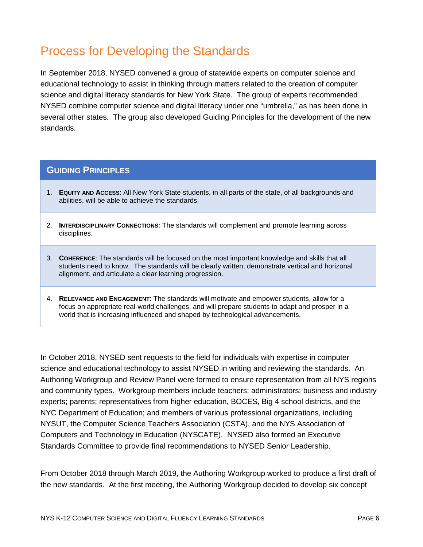# Process for Developing the Standards

In September 2018, NYSED convened a group of statewide experts on computer science and educational technology to assist in thinking through matters related to the creation of computer science and digital literacy standards for New York State. The group of experts recommended NYSED combine computer science and digital literacy under one "umbrella," as has been done in several other states. The group also developed Guiding Principles for the development of the new standards.

### **GUIDING PRINCIPLES**

- 1. **EQUITY AND ACCESS**: All New York State students, in all parts of the state, of all backgrounds and abilities, will be able to achieve the standards.
- 2. **INTERDISCIPLINARY CONNECTIONS**: The standards will complement and promote learning across disciplines.
- 3. **COHERENCE**: The standards will be focused on the most important knowledge and skills that all students need to know. The standards will be clearly written, demonstrate vertical and horizonal alignment, and articulate a clear learning progression.
- 4. **RELEVANCE AND ENGAGEMENT**: The standards will motivate and empower students, allow for a focus on appropriate real-world challenges, and will prepare students to adapt and prosper in a world that is increasing influenced and shaped by technological advancements.

In October 2018, NYSED sent requests to the field for individuals with expertise in computer science and educational technology to assist NYSED in writing and reviewing the standards. An Authoring Workgroup and Review Panel were formed to ensure representation from all NYS regions and community types. Workgroup members include teachers; administrators; business and industry experts; parents; representatives from higher education, BOCES, Big 4 school districts, and the NYC Department of Education; and members of various professional organizations, including NYSUT, the Computer Science Teachers Association (CSTA), and the NYS Association of Computers and Technology in Education (NYSCATE). NYSED also formed an Executive Standards Committee to provide final recommendations to NYSED Senior Leadership.

From October 2018 through March 2019, the Authoring Workgroup worked to produce a first draft of the new standards. At the first meeting, the Authoring Workgroup decided to develop six concept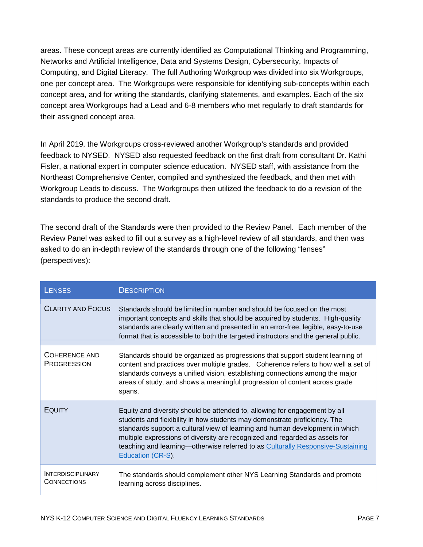areas. These concept areas are currently identified as Computational Thinking and Programming, Networks and Artificial Intelligence, Data and Systems Design, Cybersecurity, Impacts of Computing, and Digital Literacy. The full Authoring Workgroup was divided into six Workgroups, one per concept area. The Workgroups were responsible for identifying sub-concepts within each concept area, and for writing the standards, clarifying statements, and examples. Each of the six concept area Workgroups had a Lead and 6-8 members who met regularly to draft standards for their assigned concept area.

In April 2019, the Workgroups cross-reviewed another Workgroup's standards and provided feedback to NYSED. NYSED also requested feedback on the first draft from consultant Dr. Kathi Fisler, a national expert in computer science education. NYSED staff, with assistance from the Northeast Comprehensive Center, compiled and synthesized the feedback, and then met with Workgroup Leads to discuss. The Workgroups then utilized the feedback to do a revision of the standards to produce the second draft.

The second draft of the Standards were then provided to the Review Panel. Each member of the Review Panel was asked to fill out a survey as a high-level review of all standards, and then was asked to do an in-depth review of the standards through one of the following "lenses" (perspectives):

| <b>LENSES</b>                                  | <b>DESCRIPTION</b>                                                                                                                                                                                                                                                                                                                                                                                                             |
|------------------------------------------------|--------------------------------------------------------------------------------------------------------------------------------------------------------------------------------------------------------------------------------------------------------------------------------------------------------------------------------------------------------------------------------------------------------------------------------|
| <b>CLARITY AND FOCUS</b>                       | Standards should be limited in number and should be focused on the most<br>important concepts and skills that should be acquired by students. High-quality<br>standards are clearly written and presented in an error-free, legible, easy-to-use<br>format that is accessible to both the targeted instructors and the general public.                                                                                         |
| COHERENCE AND<br><b>PROGRESSION</b>            | Standards should be organized as progressions that support student learning of<br>content and practices over multiple grades. Coherence refers to how well a set of<br>standards conveys a unified vision, establishing connections among the major<br>areas of study, and shows a meaningful progression of content across grade<br>spans.                                                                                    |
| EQUITY                                         | Equity and diversity should be attended to, allowing for engagement by all<br>students and flexibility in how students may demonstrate proficiency. The<br>standards support a cultural view of learning and human development in which<br>multiple expressions of diversity are recognized and regarded as assets for<br>teaching and learning-otherwise referred to as Culturally Responsive-Sustaining<br>Education (CR-S). |
| <b>INTERDISCIPLINARY</b><br><b>CONNECTIONS</b> | The standards should complement other NYS Learning Standards and promote<br>learning across disciplines.                                                                                                                                                                                                                                                                                                                       |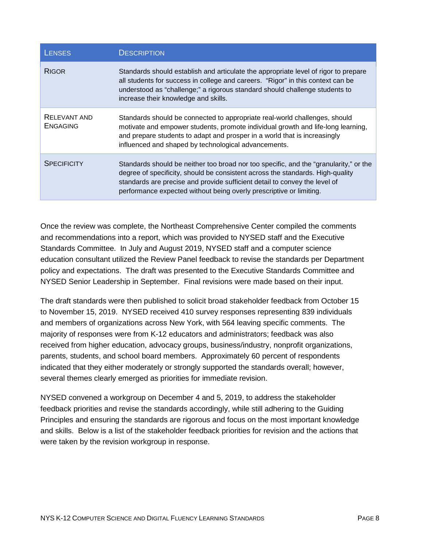| <b>LENSES</b>                   | <b>DESCRIPTION</b>                                                                                                                                                                                                                                                                                                           |
|---------------------------------|------------------------------------------------------------------------------------------------------------------------------------------------------------------------------------------------------------------------------------------------------------------------------------------------------------------------------|
| <b>RIGOR</b>                    | Standards should establish and articulate the appropriate level of rigor to prepare<br>all students for success in college and careers. "Rigor" in this context can be<br>understood as "challenge;" a rigorous standard should challenge students to<br>increase their knowledge and skills.                                |
| RELEVANT AND<br><b>ENGAGING</b> | Standards should be connected to appropriate real-world challenges, should<br>motivate and empower students, promote individual growth and life-long learning,<br>and prepare students to adapt and prosper in a world that is increasingly<br>influenced and shaped by technological advancements.                          |
| <b>SPECIFICITY</b>              | Standards should be neither too broad nor too specific, and the "granularity," or the<br>degree of specificity, should be consistent across the standards. High-quality<br>standards are precise and provide sufficient detail to convey the level of<br>performance expected without being overly prescriptive or limiting. |

Once the review was complete, the Northeast Comprehensive Center compiled the comments and recommendations into a report, which was provided to NYSED staff and the Executive Standards Committee. In July and August 2019, NYSED staff and a computer science education consultant utilized the Review Panel feedback to revise the standards per Department policy and expectations. The draft was presented to the Executive Standards Committee and NYSED Senior Leadership in September. Final revisions were made based on their input.

The draft standards were then published to solicit broad stakeholder feedback from October 15 to November 15, 2019. NYSED received 410 survey responses representing 839 individuals and members of organizations across New York, with 564 leaving specific comments. The majority of responses were from K-12 educators and administrators; feedback was also received from higher education, advocacy groups, business/industry, nonprofit organizations, parents, students, and school board members. Approximately 60 percent of respondents indicated that they either moderately or strongly supported the standards overall; however, several themes clearly emerged as priorities for immediate revision.

NYSED convened a workgroup on December 4 and 5, 2019, to address the stakeholder feedback priorities and revise the standards accordingly, while still adhering to the Guiding Principles and ensuring the standards are rigorous and focus on the most important knowledge and skills. Below is a list of the stakeholder feedback priorities for revision and the actions that were taken by the revision workgroup in response.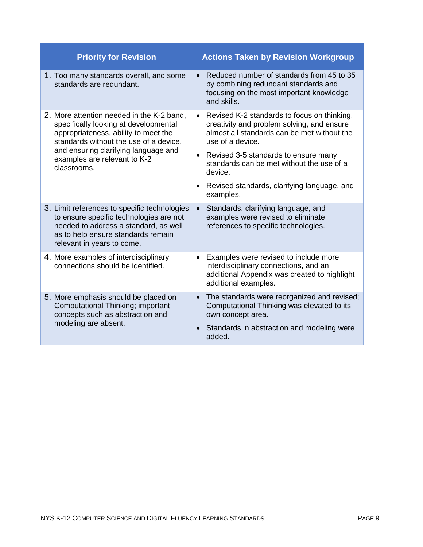| <b>Priority for Revision</b>                                                                                                                                                                         | <b>Actions Taken by Revision Workgroup</b>                                                                                                                                |
|------------------------------------------------------------------------------------------------------------------------------------------------------------------------------------------------------|---------------------------------------------------------------------------------------------------------------------------------------------------------------------------|
| 1. Too many standards overall, and some<br>standards are redundant.                                                                                                                                  | Reduced number of standards from 45 to 35<br>by combining redundant standards and<br>focusing on the most important knowledge<br>and skills.                              |
| 2. More attention needed in the K-2 band,<br>specifically looking at developmental<br>appropriateness, ability to meet the<br>standards without the use of a device,                                 | Revised K-2 standards to focus on thinking,<br>$\bullet$<br>creativity and problem solving, and ensure<br>almost all standards can be met without the<br>use of a device. |
| and ensuring clarifying language and<br>examples are relevant to K-2<br>classrooms.                                                                                                                  | Revised 3-5 standards to ensure many<br>$\bullet$<br>standards can be met without the use of a<br>device.                                                                 |
|                                                                                                                                                                                                      | Revised standards, clarifying language, and<br>examples.                                                                                                                  |
| 3. Limit references to specific technologies<br>to ensure specific technologies are not<br>needed to address a standard, as well<br>as to help ensure standards remain<br>relevant in years to come. | Standards, clarifying language, and<br>examples were revised to eliminate<br>references to specific technologies.                                                         |
| 4. More examples of interdisciplinary<br>connections should be identified.                                                                                                                           | Examples were revised to include more<br>$\bullet$<br>interdisciplinary connections, and an<br>additional Appendix was created to highlight<br>additional examples.       |
| 5. More emphasis should be placed on<br>Computational Thinking; important<br>concepts such as abstraction and                                                                                        | The standards were reorganized and revised;<br>$\bullet$<br>Computational Thinking was elevated to its<br>own concept area.                                               |
| modeling are absent.                                                                                                                                                                                 | Standards in abstraction and modeling were<br>added.                                                                                                                      |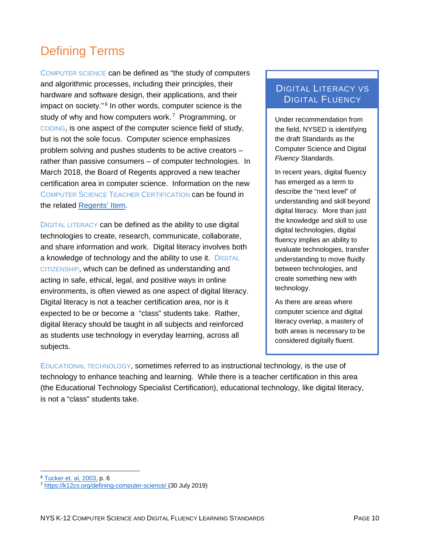# <span id="page-22-0"></span>Defining Terms

COMPUTER SCIENCE can be defined as "the study of computers and algorithmic processes, including their principles, their hardware and software design, their applications, and their impact on society."<sup>[6](#page-22-1)</sup> In other words, computer science is the study of why and how computers work.<sup>[7](#page-22-2)</sup> Programming, or CODING, is one aspect of the computer science field of study, but is not the sole focus. Computer science emphasizes problem solving and pushes students to be active creators – rather than passive consumers – of computer technologies. In March 2018, the Board of Regents approved a new teacher certification area in computer science. Information on the new COMPUTER SCIENCE TEACHER CERTIFICATION can be found in the related [Regents' Item.](https://www.regents.nysed.gov/common/regents/files/318hea2.pdf)

DIGITAL LITERACY can be defined as the ability to use digital technologies to create, research, communicate, collaborate, and share information and work. Digital literacy involves both a knowledge of technology and the ability to use it. DIGITAL CITIZENSHIP, which can be defined as understanding and acting in safe, ethical, legal, and positive ways in online environments, is often viewed as one aspect of digital literacy. Digital literacy is not a teacher certification area, nor is it expected to be or become a "class" students take. Rather, digital literacy should be taught in all subjects and reinforced as students use technology in everyday learning, across all subjects.

### DIGITAL LITERACY VS DIGITAL FLUENCY

Under recommendation from the field, NYSED is identifying the draft Standards as the Computer Science and Digital *Fluency* Standards.

In recent years, digital fluency has emerged as a term to describe the "next level" of understanding and skill beyond digital literacy. More than just the knowledge and skill to use digital technologies, digital fluency implies an ability to evaluate technologies, transfer understanding to move fluidly between technologies, and create something new with technology.

As there are areas where computer science and digital literacy overlap, a mastery of both areas is necessary to be considered digitally fluent.

EDUCATIONAL TECHNOLOGY, sometimes referred to as instructional technology, is the use of technology to enhance teaching and learning. While there is a teacher certification in this area (the Educational Technology Specialist Certification), educational technology, like digital literacy, is not a "class" students take.

 <sup>6</sup> [Tucker et. al, 2003,](https://dl.acm.org/citation.cfm?id=2593247) p. 6

<span id="page-22-2"></span><span id="page-22-1"></span><sup>&</sup>lt;sup>7</sup> <https://k12cs.org/defining-computer-science/> (30 July 2019)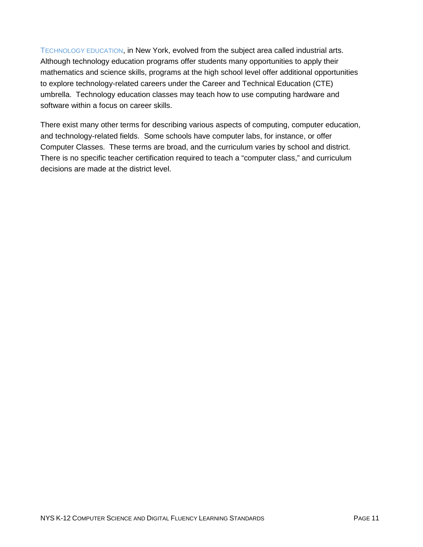TECHNOLOGY EDUCATION, in New York, evolved from the subject area called industrial arts. Although technology education programs offer students many opportunities to apply their mathematics and science skills, programs at the high school level offer additional opportunities to explore technology-related careers under the Career and Technical Education (CTE) umbrella. Technology education classes may teach how to use computing hardware and software within a focus on career skills.

There exist many other terms for describing various aspects of computing, computer education, and technology-related fields. Some schools have computer labs, for instance, or offer Computer Classes. These terms are broad, and the curriculum varies by school and district. There is no specific teacher certification required to teach a "computer class," and curriculum decisions are made at the district level.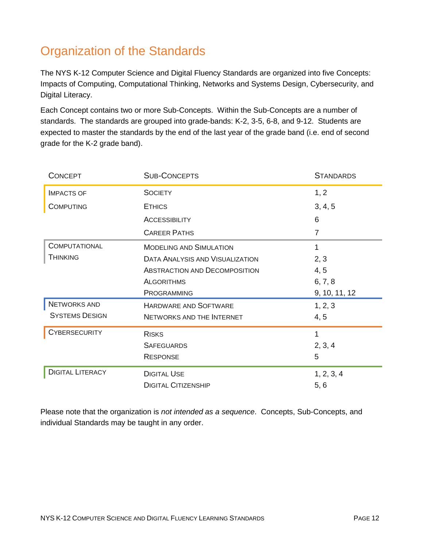# <span id="page-24-0"></span>Organization of the Standards

The NYS K-12 Computer Science and Digital Fluency Standards are organized into five Concepts: Impacts of Computing, Computational Thinking, Networks and Systems Design, Cybersecurity, and Digital Literacy.

Each Concept contains two or more Sub-Concepts. Within the Sub-Concepts are a number of standards. The standards are grouped into grade-bands: K-2, 3-5, 6-8, and 9-12. Students are expected to master the standards by the end of the last year of the grade band (i.e. end of second grade for the K-2 grade band).

| <b>CONCEPT</b>          | <b>SUB-CONCEPTS</b>                    | <b>STANDARDS</b> |
|-------------------------|----------------------------------------|------------------|
| <b>IMPACTS OF</b>       | <b>SOCIETY</b>                         | 1, 2             |
| <b>COMPUTING</b>        | <b>ETHICS</b>                          | 3, 4, 5          |
|                         | <b>ACCESSIBILITY</b>                   | 6                |
|                         | <b>CAREER PATHS</b>                    | 7                |
| <b>COMPUTATIONAL</b>    | <b>MODELING AND SIMULATION</b>         | 1                |
| <b>THINKING</b>         | <b>DATA ANALYSIS AND VISUALIZATION</b> | 2, 3             |
|                         | <b>ABSTRACTION AND DECOMPOSITION</b>   | 4, 5             |
|                         | <b>ALGORITHMS</b>                      | 6, 7, 8          |
|                         | PROGRAMMING                            | 9, 10, 11, 12    |
| <b>NETWORKS AND</b>     | <b>HARDWARE AND SOFTWARE</b>           | 1, 2, 3          |
| <b>SYSTEMS DESIGN</b>   | NETWORKS AND THE INTERNET              | 4, 5             |
| <b>CYBERSECURITY</b>    | <b>RISKS</b>                           | 1                |
|                         | <b>SAFEGUARDS</b>                      | 2, 3, 4          |
|                         | <b>RESPONSE</b>                        | 5                |
| <b>DIGITAL LITERACY</b> | <b>DIGITAL USE</b>                     | 1, 2, 3, 4       |
|                         | <b>DIGITAL CITIZENSHIP</b>             | 5, 6             |

Please note that the organization is *not intended as a sequence*. Concepts, Sub-Concepts, and individual Standards may be taught in any order.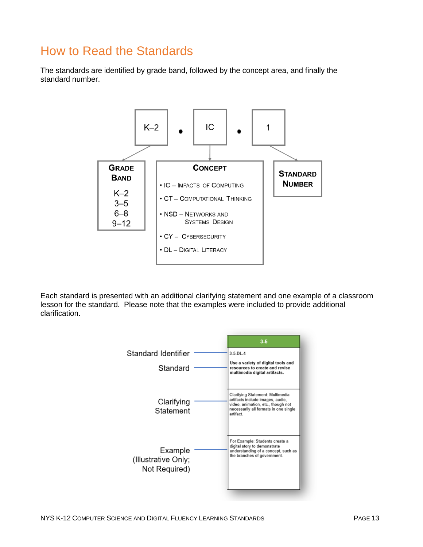# <span id="page-25-0"></span>How to Read the Standards

The standards are identified by grade band, followed by the concept area, and finally the standard number.



Each standard is presented with an additional clarifying statement and one example of a classroom lesson for the standard. Please note that the examples were included to provide additional clarification.

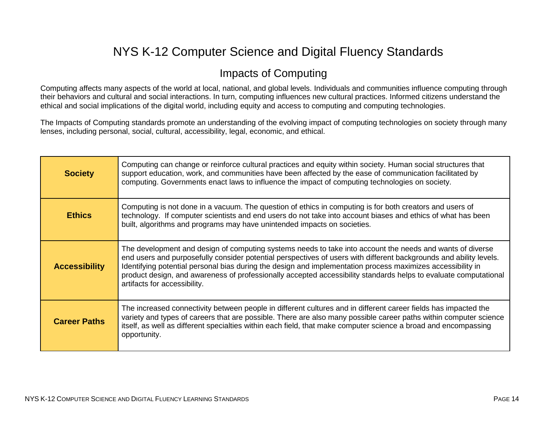### Impacts of Computing

Computing affects many aspects of the world at local, national, and global levels. Individuals and communities influence computing through their behaviors and cultural and social interactions. In turn, computing influences new cultural practices. Informed citizens understand the ethical and social implications of the digital world, including equity and access to computing and computing technologies.

The Impacts of Computing standards promote an understanding of the evolving impact of computing technologies on society through many lenses, including personal, social, cultural, accessibility, legal, economic, and ethical.

<span id="page-26-0"></span>

| <b>Society</b>       | Computing can change or reinforce cultural practices and equity within society. Human social structures that<br>support education, work, and communities have been affected by the ease of communication facilitated by<br>computing. Governments enact laws to influence the impact of computing technologies on society.                                                                                                                                                                         |
|----------------------|----------------------------------------------------------------------------------------------------------------------------------------------------------------------------------------------------------------------------------------------------------------------------------------------------------------------------------------------------------------------------------------------------------------------------------------------------------------------------------------------------|
| <b>Ethics</b>        | Computing is not done in a vacuum. The question of ethics in computing is for both creators and users of<br>technology. If computer scientists and end users do not take into account biases and ethics of what has been<br>built, algorithms and programs may have unintended impacts on societies.                                                                                                                                                                                               |
| <b>Accessibility</b> | The development and design of computing systems needs to take into account the needs and wants of diverse<br>end users and purposefully consider potential perspectives of users with different backgrounds and ability levels.<br>Identifying potential personal bias during the design and implementation process maximizes accessibility in<br>product design, and awareness of professionally accepted accessibility standards helps to evaluate computational<br>artifacts for accessibility. |
| <b>Career Paths</b>  | The increased connectivity between people in different cultures and in different career fields has impacted the<br>variety and types of careers that are possible. There are also many possible career paths within computer science<br>itself, as well as different specialties within each field, that make computer science a broad and encompassing<br>opportunity.                                                                                                                            |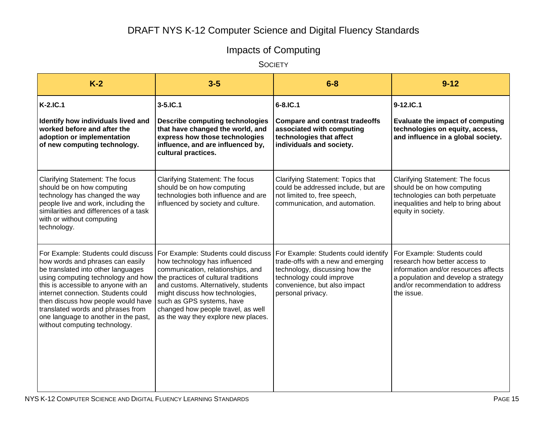# Impacts of Computing

**SOCIETY** 

| $K-2$                                                                                                                                                                                                                                                                                                                                                                                                                         | $3-5$                                                                                                                                                                                                                                                                                          | $6 - 8$                                                                                                                                                                                       | $9 - 12$                                                                                                                                                                                      |
|-------------------------------------------------------------------------------------------------------------------------------------------------------------------------------------------------------------------------------------------------------------------------------------------------------------------------------------------------------------------------------------------------------------------------------|------------------------------------------------------------------------------------------------------------------------------------------------------------------------------------------------------------------------------------------------------------------------------------------------|-----------------------------------------------------------------------------------------------------------------------------------------------------------------------------------------------|-----------------------------------------------------------------------------------------------------------------------------------------------------------------------------------------------|
| <b>K-2.IC.1</b>                                                                                                                                                                                                                                                                                                                                                                                                               | $3 - 5$ .IC.1                                                                                                                                                                                                                                                                                  | 6-8.IC.1                                                                                                                                                                                      | 9-12.IC.1                                                                                                                                                                                     |
| Identify how individuals lived and<br>worked before and after the<br>adoption or implementation<br>of new computing technology.                                                                                                                                                                                                                                                                                               | <b>Describe computing technologies</b><br>that have changed the world, and<br>express how those technologies<br>influence, and are influenced by,<br>cultural practices.                                                                                                                       | <b>Compare and contrast tradeoffs</b><br>associated with computing<br>technologies that affect<br>individuals and society.                                                                    | Evaluate the impact of computing<br>technologies on equity, access,<br>and influence in a global society.                                                                                     |
| Clarifying Statement: The focus<br>should be on how computing<br>technology has changed the way<br>people live and work, including the<br>similarities and differences of a task<br>with or without computing<br>technology.                                                                                                                                                                                                  | <b>Clarifying Statement: The focus</b><br>should be on how computing<br>technologies both influence and are<br>influenced by society and culture.                                                                                                                                              | Clarifying Statement: Topics that<br>could be addressed include, but are<br>not limited to, free speech,<br>communication, and automation.                                                    | Clarifying Statement: The focus<br>should be on how computing<br>technologies can both perpetuate<br>inequalities and help to bring about<br>equity in society.                               |
| For Example: Students could discuss<br>how words and phrases can easily<br>be translated into other languages<br>using computing technology and how   the practices of cultural traditions<br>this is accessible to anyone with an<br>internet connection. Students could<br>then discuss how people would have<br>translated words and phrases from<br>one language to another in the past,<br>without computing technology. | For Example: Students could discuss<br>how technology has influenced<br>communication, relationships, and<br>and customs. Alternatively, students<br>might discuss how technologies,<br>such as GPS systems, have<br>changed how people travel, as well<br>as the way they explore new places. | For Example: Students could identify<br>trade-offs with a new and emerging<br>technology, discussing how the<br>technology could improve<br>convenience, but also impact<br>personal privacy. | For Example: Students could<br>research how better access to<br>information and/or resources affects<br>a population and develop a strategy<br>and/or recommendation to address<br>the issue. |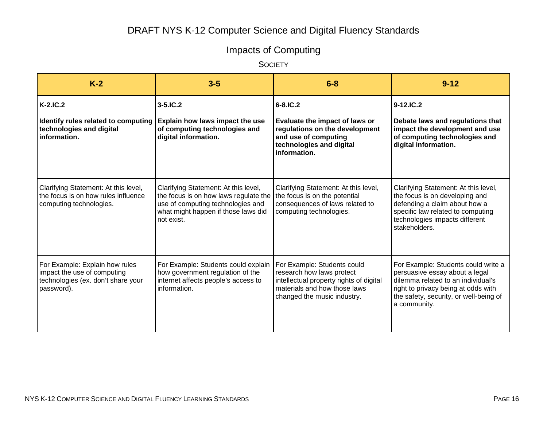# Impacts of Computing

**SOCIETY** 

| $K-2$                                                                                                             | $3-5$                                                                                                                                                                   | $6 - 8$                                                                                                                                                            | $9 - 12$                                                                                                                                                                                                     |
|-------------------------------------------------------------------------------------------------------------------|-------------------------------------------------------------------------------------------------------------------------------------------------------------------------|--------------------------------------------------------------------------------------------------------------------------------------------------------------------|--------------------------------------------------------------------------------------------------------------------------------------------------------------------------------------------------------------|
| $K-2.IC.2$<br>Identify rules related to computing<br>technologies and digital<br>information.                     | $3 - 5$ . IC. 2<br>Explain how laws impact the use<br>of computing technologies and<br>digital information.                                                             | $6 - 8$ . IC. 2<br>Evaluate the impact of laws or<br>regulations on the development<br>and use of computing<br>technologies and digital<br>information.            | $9-12$ .IC.2<br>Debate laws and regulations that<br>impact the development and use<br>of computing technologies and<br>digital information.                                                                  |
| Clarifying Statement: At this level,<br>the focus is on how rules influence<br>computing technologies.            | Clarifying Statement: At this level,<br>the focus is on how laws regulate the<br>use of computing technologies and<br>what might happen if those laws did<br>not exist. | Clarifying Statement: At this level,<br>the focus is on the potential<br>consequences of laws related to<br>computing technologies.                                | Clarifying Statement: At this level,<br>the focus is on developing and<br>defending a claim about how a<br>specific law related to computing<br>technologies impacts different<br>stakeholders.              |
| For Example: Explain how rules<br>impact the use of computing<br>technologies (ex. don't share your<br>password). | For Example: Students could explain<br>how government regulation of the<br>internet affects people's access to<br>information.                                          | For Example: Students could<br>research how laws protect<br>intellectual property rights of digital<br>materials and how those laws<br>changed the music industry. | For Example: Students could write a<br>persuasive essay about a legal<br>dilemma related to an individual's<br>right to privacy being at odds with<br>the safety, security, or well-being of<br>a community. |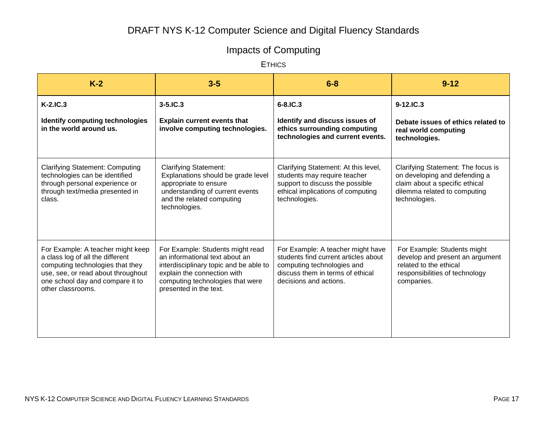# Impacts of Computing

**ETHICS** 

| $K-2$                                                                                                                                                                                                    | $3-5$                                                                                                                                                                                                     | $6 - 8$                                                                                                                                                               | $9 - 12$                                                                                                                                               |
|----------------------------------------------------------------------------------------------------------------------------------------------------------------------------------------------------------|-----------------------------------------------------------------------------------------------------------------------------------------------------------------------------------------------------------|-----------------------------------------------------------------------------------------------------------------------------------------------------------------------|--------------------------------------------------------------------------------------------------------------------------------------------------------|
| $K-2.IC.3$                                                                                                                                                                                               | $3 - 5$ . IC. $3$                                                                                                                                                                                         | $6 - 8$ , IC.3                                                                                                                                                        | $9 - 12$ , IC, 3                                                                                                                                       |
| Identify computing technologies<br>in the world around us.                                                                                                                                               | <b>Explain current events that</b><br>involve computing technologies.                                                                                                                                     | Identify and discuss issues of<br>ethics surrounding computing<br>technologies and current events.                                                                    | Debate issues of ethics related to<br>real world computing<br>technologies.                                                                            |
| <b>Clarifying Statement: Computing</b><br>technologies can be identified<br>through personal experience or<br>through text/media presented in<br>class.                                                  | <b>Clarifying Statement:</b><br>Explanations should be grade level<br>appropriate to ensure<br>understanding of current events<br>and the related computing<br>technologies.                              | Clarifying Statement: At this level,<br>students may require teacher<br>support to discuss the possible<br>ethical implications of computing<br>technologies.         | Clarifying Statement: The focus is<br>on developing and defending a<br>claim about a specific ethical<br>dilemma related to computing<br>technologies. |
| For Example: A teacher might keep<br>a class log of all the different<br>computing technologies that they<br>use, see, or read about throughout<br>one school day and compare it to<br>other classrooms. | For Example: Students might read<br>an informational text about an<br>interdisciplinary topic and be able to<br>explain the connection with<br>computing technologies that were<br>presented in the text. | For Example: A teacher might have<br>students find current articles about<br>computing technologies and<br>discuss them in terms of ethical<br>decisions and actions. | For Example: Students might<br>develop and present an argument<br>related to the ethical<br>responsibilities of technology<br>companies.               |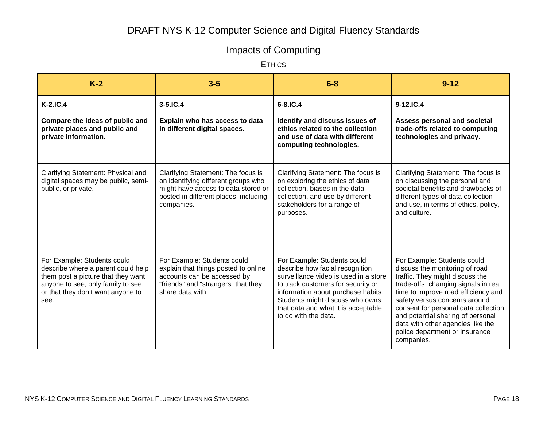# Impacts of Computing

**ETHICS** 

| $K-2$                                                                                                                                                                                      | $3-5$                                                                                                                                                                   | $6 - 8$                                                                                                                                                                                                                                                                               | $9 - 12$                                                                                                                                                                                                                                                                                                                                                                           |
|--------------------------------------------------------------------------------------------------------------------------------------------------------------------------------------------|-------------------------------------------------------------------------------------------------------------------------------------------------------------------------|---------------------------------------------------------------------------------------------------------------------------------------------------------------------------------------------------------------------------------------------------------------------------------------|------------------------------------------------------------------------------------------------------------------------------------------------------------------------------------------------------------------------------------------------------------------------------------------------------------------------------------------------------------------------------------|
| $K-2.IC.4$                                                                                                                                                                                 | $3 - 5$ . IC. 4                                                                                                                                                         | 6-8.IC.4                                                                                                                                                                                                                                                                              | 9-12.IC.4                                                                                                                                                                                                                                                                                                                                                                          |
| Compare the ideas of public and<br>private places and public and<br>private information.                                                                                                   | Explain who has access to data<br>in different digital spaces.                                                                                                          | Identify and discuss issues of<br>ethics related to the collection<br>and use of data with different<br>computing technologies.                                                                                                                                                       | Assess personal and societal<br>trade-offs related to computing<br>technologies and privacy.                                                                                                                                                                                                                                                                                       |
| Clarifying Statement: Physical and<br>digital spaces may be public, semi-<br>public, or private.                                                                                           | Clarifying Statement: The focus is<br>on identifying different groups who<br>might have access to data stored or<br>posted in different places, including<br>companies. | Clarifying Statement: The focus is<br>on exploring the ethics of data<br>collection, biases in the data<br>collection, and use by different<br>stakeholders for a range of<br>purposes.                                                                                               | Clarifying Statement: The focus is<br>on discussing the personal and<br>societal benefits and drawbacks of<br>different types of data collection<br>and use, in terms of ethics, policy,<br>and culture.                                                                                                                                                                           |
| For Example: Students could<br>describe where a parent could help<br>them post a picture that they want<br>anyone to see, only family to see,<br>or that they don't want anyone to<br>see. | For Example: Students could<br>explain that things posted to online<br>accounts can be accessed by<br>"friends" and "strangers" that they<br>share data with.           | For Example: Students could<br>describe how facial recognition<br>surveillance video is used in a store<br>to track customers for security or<br>information about purchase habits.<br>Students might discuss who owns<br>that data and what it is acceptable<br>to do with the data. | For Example: Students could<br>discuss the monitoring of road<br>traffic. They might discuss the<br>trade-offs: changing signals in real<br>time to improve road efficiency and<br>safety versus concerns around<br>consent for personal data collection<br>and potential sharing of personal<br>data with other agencies like the<br>police department or insurance<br>companies. |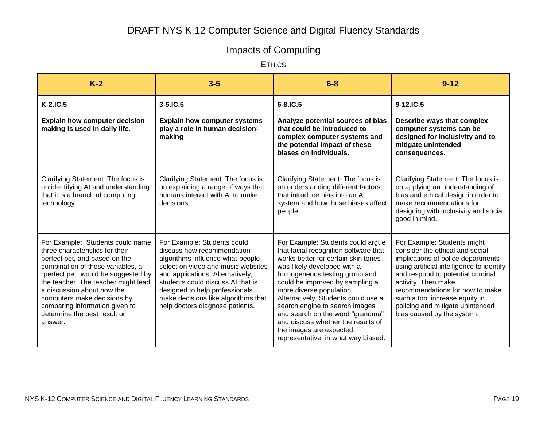# Impacts of Computing

**ETHICS** 

| $K-2$                                                                                                                                                                                                                                                                                                                                                             | $3-5$                                                                                                                                                                                                                                                                                                                    | $6 - 8$                                                                                                                                                                                                                                                                                                                                                                                                                                                                | $9 - 12$                                                                                                                                                                                                                                                                                                                                             |
|-------------------------------------------------------------------------------------------------------------------------------------------------------------------------------------------------------------------------------------------------------------------------------------------------------------------------------------------------------------------|--------------------------------------------------------------------------------------------------------------------------------------------------------------------------------------------------------------------------------------------------------------------------------------------------------------------------|------------------------------------------------------------------------------------------------------------------------------------------------------------------------------------------------------------------------------------------------------------------------------------------------------------------------------------------------------------------------------------------------------------------------------------------------------------------------|------------------------------------------------------------------------------------------------------------------------------------------------------------------------------------------------------------------------------------------------------------------------------------------------------------------------------------------------------|
| K-2.IC.5                                                                                                                                                                                                                                                                                                                                                          | $3 - 5$ . IC. $5$                                                                                                                                                                                                                                                                                                        | $6 - 8$ . IC. 5                                                                                                                                                                                                                                                                                                                                                                                                                                                        | 9-12.IC.5                                                                                                                                                                                                                                                                                                                                            |
| <b>Explain how computer decision</b><br>making is used in daily life.                                                                                                                                                                                                                                                                                             | <b>Explain how computer systems</b><br>play a role in human decision-<br>making                                                                                                                                                                                                                                          | Analyze potential sources of bias<br>that could be introduced to<br>complex computer systems and<br>the potential impact of these<br>biases on individuals.                                                                                                                                                                                                                                                                                                            | Describe ways that complex<br>computer systems can be<br>designed for inclusivity and to<br>mitigate unintended<br>consequences.                                                                                                                                                                                                                     |
| Clarifying Statement: The focus is<br>on identifying AI and understanding<br>that it is a branch of computing<br>technology.                                                                                                                                                                                                                                      | Clarifying Statement: The focus is<br>on explaining a range of ways that<br>humans interact with AI to make<br>decisions.                                                                                                                                                                                                | Clarifying Statement: The focus is<br>on understanding different factors<br>that introduce bias into an AI<br>system and how those biases affect<br>people.                                                                                                                                                                                                                                                                                                            | Clarifying Statement: The focus is<br>on applying an understanding of<br>bias and ethical design in order to<br>make recommendations for<br>designing with inclusivity and social<br>good in mind.                                                                                                                                                   |
| For Example: Students could name<br>three characteristics for their<br>perfect pet, and based on the<br>combination of those variables, a<br>"perfect pet" would be suggested by<br>the teacher. The teacher might lead<br>a discussion about how the<br>computers make decisions by<br>comparing information given to<br>determine the best result or<br>answer. | For Example: Students could<br>discuss how recommendation<br>algorithms influence what people<br>select on video and music websites<br>and applications. Alternatively,<br>students could discuss AI that is<br>designed to help professionals<br>make decisions like algorithms that<br>help doctors diagnose patients. | For Example: Students could argue<br>that facial recognition software that<br>works better for certain skin tones<br>was likely developed with a<br>homogeneous testing group and<br>could be improved by sampling a<br>more diverse population.<br>Alternatively, Students could use a<br>search engine to search images<br>and search on the word "grandma"<br>and discuss whether the results of<br>the images are expected,<br>representative, in what way biased. | For Example: Students might<br>consider the ethical and social<br>implications of police departments<br>using artificial intelligence to identify<br>and respond to potential criminal<br>activity. Then make<br>recommendations for how to make<br>such a tool increase equity in<br>policing and mitigate unintended<br>bias caused by the system. |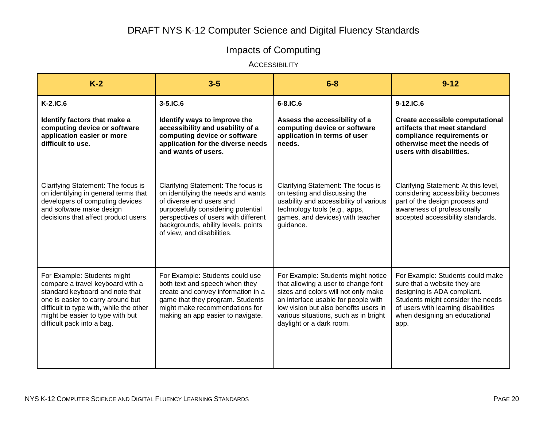# Impacts of Computing

**ACCESSIBILITY** 

| $K-2$                                                                                                                                                                                                                                                | $3-5$                                                                                                                                                                                                                                                   | $6 - 8$                                                                                                                                                                                                                                                               | $9 - 12$                                                                                                                                                                                                             |
|------------------------------------------------------------------------------------------------------------------------------------------------------------------------------------------------------------------------------------------------------|---------------------------------------------------------------------------------------------------------------------------------------------------------------------------------------------------------------------------------------------------------|-----------------------------------------------------------------------------------------------------------------------------------------------------------------------------------------------------------------------------------------------------------------------|----------------------------------------------------------------------------------------------------------------------------------------------------------------------------------------------------------------------|
| $K-2.IC.6$<br>Identify factors that make a<br>computing device or software<br>application easier or more<br>difficult to use.                                                                                                                        | $3-5$ .IC.6<br>Identify ways to improve the<br>accessibility and usability of a<br>computing device or software<br>application for the diverse needs<br>and wants of users.                                                                             | 6-8.IC.6<br>Assess the accessibility of a<br>computing device or software<br>application in terms of user<br>needs.                                                                                                                                                   | 9-12.IC.6<br><b>Create accessible computational</b><br>artifacts that meet standard<br>compliance requirements or<br>otherwise meet the needs of<br>users with disabilities.                                         |
| Clarifying Statement: The focus is<br>on identifying in general terms that<br>developers of computing devices<br>and software make design<br>decisions that affect product users.                                                                    | Clarifying Statement: The focus is<br>on identifying the needs and wants<br>of diverse end users and<br>purposefully considering potential<br>perspectives of users with different<br>backgrounds, ability levels, points<br>of view, and disabilities. | Clarifying Statement: The focus is<br>on testing and discussing the<br>usability and accessibility of various<br>technology tools (e.g., apps,<br>games, and devices) with teacher<br>guidance.                                                                       | Clarifying Statement: At this level,<br>considering accessibility becomes<br>part of the design process and<br>awareness of professionally<br>accepted accessibility standards.                                      |
| For Example: Students might<br>compare a travel keyboard with a<br>standard keyboard and note that<br>one is easier to carry around but<br>difficult to type with, while the other<br>might be easier to type with but<br>difficult pack into a bag. | For Example: Students could use<br>both text and speech when they<br>create and convey information in a<br>game that they program. Students<br>might make recommendations for<br>making an app easier to navigate.                                      | For Example: Students might notice<br>that allowing a user to change font<br>sizes and colors will not only make<br>an interface usable for people with<br>low vision but also benefits users in<br>various situations, such as in bright<br>daylight or a dark room. | For Example: Students could make<br>sure that a website they are<br>designing is ADA compliant.<br>Students might consider the needs<br>of users with learning disabilities<br>when designing an educational<br>app. |
|                                                                                                                                                                                                                                                      |                                                                                                                                                                                                                                                         |                                                                                                                                                                                                                                                                       |                                                                                                                                                                                                                      |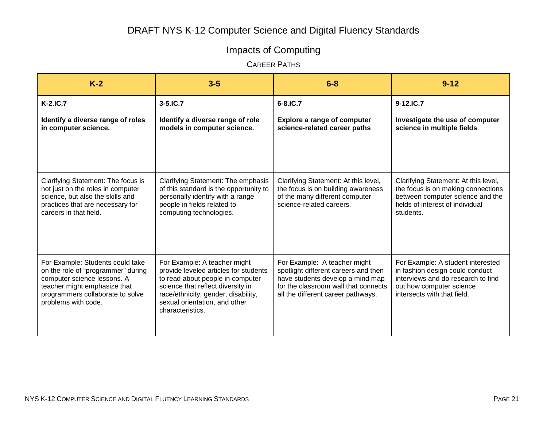# Impacts of Computing

CAREER PATHS

| $K-2$                                                                                                                                                                                            | $3-5$                                                                                                                                                                                                                                      | $6 - 8$                                                                                                                                                                                | $9 - 12$                                                                                                                                                              |
|--------------------------------------------------------------------------------------------------------------------------------------------------------------------------------------------------|--------------------------------------------------------------------------------------------------------------------------------------------------------------------------------------------------------------------------------------------|----------------------------------------------------------------------------------------------------------------------------------------------------------------------------------------|-----------------------------------------------------------------------------------------------------------------------------------------------------------------------|
| $K-2.IC.7$                                                                                                                                                                                       | $3 - 5$ .IC.7                                                                                                                                                                                                                              | 6-8.IC.7                                                                                                                                                                               | 9-12.IC.7                                                                                                                                                             |
| Identify a diverse range of roles<br>in computer science.                                                                                                                                        | Identify a diverse range of role<br>models in computer science.                                                                                                                                                                            | <b>Explore a range of computer</b><br>science-related career paths                                                                                                                     | Investigate the use of computer<br>science in multiple fields                                                                                                         |
| Clarifying Statement: The focus is<br>not just on the roles in computer<br>science, but also the skills and<br>practices that are necessary for<br>careers in that field.                        | Clarifying Statement: The emphasis<br>of this standard is the opportunity to<br>personally identify with a range<br>people in fields related to<br>computing technologies.                                                                 | Clarifying Statement: At this level,<br>the focus is on building awareness<br>of the many different computer<br>science-related careers.                                               | Clarifying Statement: At this level,<br>the focus is on making connections<br>between computer science and the<br>fields of interest of individual<br>students.       |
| For Example: Students could take<br>on the role of "programmer" during<br>computer science lessons. A<br>teacher might emphasize that<br>programmers collaborate to solve<br>problems with code. | For Example: A teacher might<br>provide leveled articles for students<br>to read about people in computer<br>science that reflect diversity in<br>race/ethnicity, gender, disability,<br>sexual orientation, and other<br>characteristics. | For Example: A teacher might<br>spotlight different careers and then<br>have students develop a mind map<br>for the classroom wall that connects<br>all the different career pathways. | For Example: A student interested<br>in fashion design could conduct<br>interviews and do research to find<br>out how computer science<br>intersects with that field. |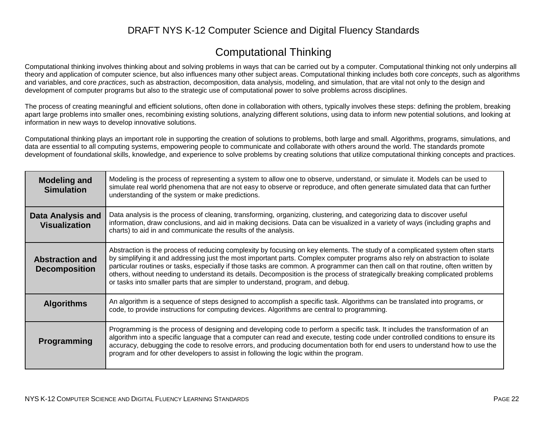### Computational Thinking

Computational thinking involves thinking about and solving problems in ways that can be carried out by a computer. Computational thinking not only underpins all theory and application of computer science, but also influences many other subject areas. Computational thinking includes both core *concepts*, such as algorithms and variables, and core *practices*, such as abstraction, decomposition, data analysis, modeling, and simulation, that are vital not only to the design and development of computer programs but also to the strategic use of computational power to solve problems across disciplines.

The process of creating meaningful and efficient solutions, often done in collaboration with others, typically involves these steps: defining the problem, breaking apart large problems into smaller ones, recombining existing solutions, analyzing different solutions, using data to inform new potential solutions, and looking at information in new ways to develop innovative solutions.

Computational thinking plays an important role in supporting the creation of solutions to problems, both large and small. Algorithms, programs, simulations, and data are essential to all computing systems, empowering people to communicate and collaborate with others around the world. The standards promote development of foundational skills, knowledge, and experience to solve problems by creating solutions that utilize computational thinking concepts and practices.

| <b>Modeling and</b><br><b>Simulation</b>         | Modeling is the process of representing a system to allow one to observe, understand, or simulate it. Models can be used to<br>simulate real world phenomena that are not easy to observe or reproduce, and often generate simulated data that can further<br>understanding of the system or make predictions.                                                                                                                                                                                                                                                                                                          |
|--------------------------------------------------|-------------------------------------------------------------------------------------------------------------------------------------------------------------------------------------------------------------------------------------------------------------------------------------------------------------------------------------------------------------------------------------------------------------------------------------------------------------------------------------------------------------------------------------------------------------------------------------------------------------------------|
| <b>Data Analysis and</b><br><b>Visualization</b> | Data analysis is the process of cleaning, transforming, organizing, clustering, and categorizing data to discover useful<br>information, draw conclusions, and aid in making decisions. Data can be visualized in a variety of ways (including graphs and<br>charts) to aid in and communicate the results of the analysis.                                                                                                                                                                                                                                                                                             |
| <b>Abstraction and</b><br><b>Decomposition</b>   | Abstraction is the process of reducing complexity by focusing on key elements. The study of a complicated system often starts<br>by simplifying it and addressing just the most important parts. Complex computer programs also rely on abstraction to isolate<br>particular routines or tasks, especially if those tasks are common. A programmer can then call on that routine, often written by<br>others, without needing to understand its details. Decomposition is the process of strategically breaking complicated problems<br>or tasks into smaller parts that are simpler to understand, program, and debug. |
| <b>Algorithms</b>                                | An algorithm is a sequence of steps designed to accomplish a specific task. Algorithms can be translated into programs, or<br>code, to provide instructions for computing devices. Algorithms are central to programming.                                                                                                                                                                                                                                                                                                                                                                                               |
| <b>Programming</b>                               | Programming is the process of designing and developing code to perform a specific task. It includes the transformation of an<br>algorithm into a specific language that a computer can read and execute, testing code under controlled conditions to ensure its<br>accuracy, debugging the code to resolve errors, and producing documentation both for end users to understand how to use the<br>program and for other developers to assist in following the logic within the program.                                                                                                                                 |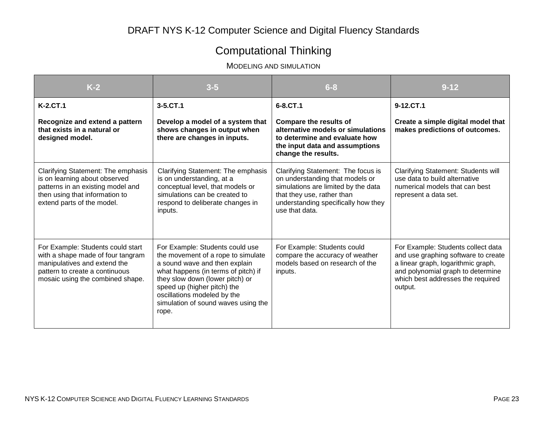# Computational Thinking

MODELING AND SIMULATION

| $K-2$                                                                                                                                                                        | $3 - 5$                                                                                                                                                                                                                                                                                        | $6 - 8$                                                                                                                                                                                             | $9 - 12$                                                                                                                                                                                             |
|------------------------------------------------------------------------------------------------------------------------------------------------------------------------------|------------------------------------------------------------------------------------------------------------------------------------------------------------------------------------------------------------------------------------------------------------------------------------------------|-----------------------------------------------------------------------------------------------------------------------------------------------------------------------------------------------------|------------------------------------------------------------------------------------------------------------------------------------------------------------------------------------------------------|
| <b>K-2.CT.1</b>                                                                                                                                                              | 3-5.CT.1                                                                                                                                                                                                                                                                                       | 6-8.CT.1                                                                                                                                                                                            | 9-12.CT.1                                                                                                                                                                                            |
| Recognize and extend a pattern<br>that exists in a natural or<br>designed model.                                                                                             | Develop a model of a system that<br>shows changes in output when<br>there are changes in inputs.                                                                                                                                                                                               | <b>Compare the results of</b><br>alternative models or simulations<br>to determine and evaluate how<br>the input data and assumptions<br>change the results.                                        | Create a simple digital model that<br>makes predictions of outcomes.                                                                                                                                 |
| Clarifying Statement: The emphasis<br>is on learning about observed<br>patterns in an existing model and<br>then using that information to<br>extend parts of the model.     | Clarifying Statement: The emphasis<br>is on understanding, at a<br>conceptual level, that models or<br>simulations can be created to<br>respond to deliberate changes in<br>inputs.                                                                                                            | Clarifying Statement: The focus is<br>on understanding that models or<br>simulations are limited by the data<br>that they use, rather than<br>understanding specifically how they<br>use that data. | Clarifying Statement: Students will<br>use data to build alternative<br>numerical models that can best<br>represent a data set.                                                                      |
| For Example: Students could start<br>with a shape made of four tangram<br>manipulatives and extend the<br>pattern to create a continuous<br>mosaic using the combined shape. | For Example: Students could use<br>the movement of a rope to simulate<br>a sound wave and then explain<br>what happens (in terms of pitch) if<br>they slow down (lower pitch) or<br>speed up (higher pitch) the<br>oscillations modeled by the<br>simulation of sound waves using the<br>rope. | For Example: Students could<br>compare the accuracy of weather<br>models based on research of the<br>inputs.                                                                                        | For Example: Students collect data<br>and use graphing software to create<br>a linear graph, logarithmic graph,<br>and polynomial graph to determine<br>which best addresses the required<br>output. |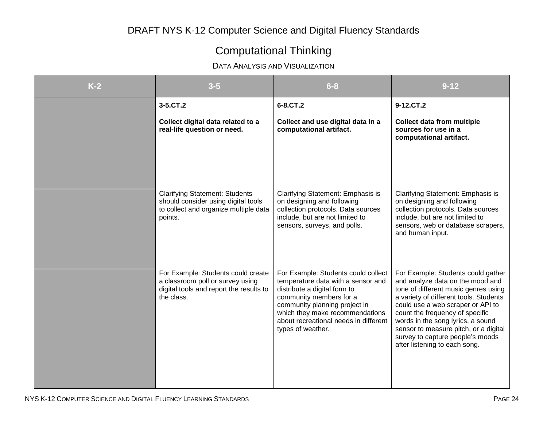# Computational Thinking

### DATA ANALYSIS AND VISUALIZATION

| $K-2$ | $3 - 5$                                                                                                                          | $6 - 8$                                                                                                                                                                                                                                                                | $9 - 12$                                                                                                                                                                                                                                                                                                                                                                            |
|-------|----------------------------------------------------------------------------------------------------------------------------------|------------------------------------------------------------------------------------------------------------------------------------------------------------------------------------------------------------------------------------------------------------------------|-------------------------------------------------------------------------------------------------------------------------------------------------------------------------------------------------------------------------------------------------------------------------------------------------------------------------------------------------------------------------------------|
|       | 3-5.CT.2                                                                                                                         | 6-8.CT.2                                                                                                                                                                                                                                                               | 9-12.CT.2                                                                                                                                                                                                                                                                                                                                                                           |
|       | Collect digital data related to a<br>real-life question or need.                                                                 | Collect and use digital data in a<br>computational artifact.                                                                                                                                                                                                           | <b>Collect data from multiple</b><br>sources for use in a<br>computational artifact.                                                                                                                                                                                                                                                                                                |
|       | <b>Clarifying Statement: Students</b><br>should consider using digital tools<br>to collect and organize multiple data<br>points. | Clarifying Statement: Emphasis is<br>on designing and following<br>collection protocols. Data sources<br>include, but are not limited to<br>sensors, surveys, and polls.                                                                                               | Clarifying Statement: Emphasis is<br>on designing and following<br>collection protocols. Data sources<br>include, but are not limited to<br>sensors, web or database scrapers,<br>and human input.                                                                                                                                                                                  |
|       | For Example: Students could create<br>a classroom poll or survey using<br>digital tools and report the results to<br>the class.  | For Example: Students could collect<br>temperature data with a sensor and<br>distribute a digital form to<br>community members for a<br>community planning project in<br>which they make recommendations<br>about recreational needs in different<br>types of weather. | For Example: Students could gather<br>and analyze data on the mood and<br>tone of different music genres using<br>a variety of different tools. Students<br>could use a web scraper or API to<br>count the frequency of specific<br>words in the song lyrics, a sound<br>sensor to measure pitch, or a digital<br>survey to capture people's moods<br>after listening to each song. |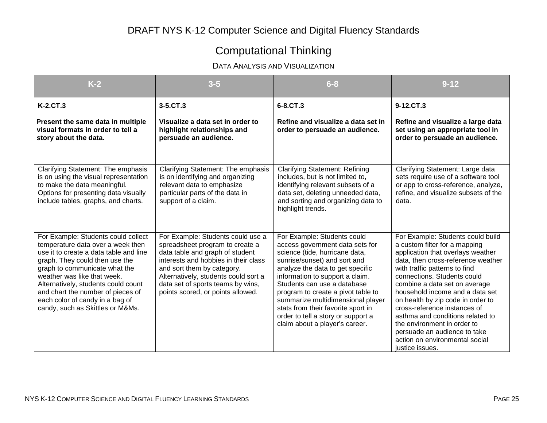# Computational Thinking

### DATA ANALYSIS AND VISUALIZATION

| $K-2$                                                                                                                                                                                                                                                                                                                                                                   | $3 - 5$                                                                                                                                                                                                                                                                                         | $6 - 8$                                                                                                                                                                                                                                                                                                                                                                                                                         | $9 - 12$                                                                                                                                                                                                                                                                                                                                                                                                                                                                                                       |
|-------------------------------------------------------------------------------------------------------------------------------------------------------------------------------------------------------------------------------------------------------------------------------------------------------------------------------------------------------------------------|-------------------------------------------------------------------------------------------------------------------------------------------------------------------------------------------------------------------------------------------------------------------------------------------------|---------------------------------------------------------------------------------------------------------------------------------------------------------------------------------------------------------------------------------------------------------------------------------------------------------------------------------------------------------------------------------------------------------------------------------|----------------------------------------------------------------------------------------------------------------------------------------------------------------------------------------------------------------------------------------------------------------------------------------------------------------------------------------------------------------------------------------------------------------------------------------------------------------------------------------------------------------|
| K-2.CT.3                                                                                                                                                                                                                                                                                                                                                                | $3 - 5$ .CT.3                                                                                                                                                                                                                                                                                   | 6-8.CT.3                                                                                                                                                                                                                                                                                                                                                                                                                        | 9-12.CT.3                                                                                                                                                                                                                                                                                                                                                                                                                                                                                                      |
| Present the same data in multiple<br>visual formats in order to tell a<br>story about the data.                                                                                                                                                                                                                                                                         | Visualize a data set in order to<br>highlight relationships and<br>persuade an audience.                                                                                                                                                                                                        | Refine and visualize a data set in<br>order to persuade an audience.                                                                                                                                                                                                                                                                                                                                                            | Refine and visualize a large data<br>set using an appropriate tool in<br>order to persuade an audience.                                                                                                                                                                                                                                                                                                                                                                                                        |
| Clarifying Statement: The emphasis<br>is on using the visual representation<br>to make the data meaningful.<br>Options for presenting data visually<br>include tables, graphs, and charts.                                                                                                                                                                              | Clarifying Statement: The emphasis<br>is on identifying and organizing<br>relevant data to emphasize<br>particular parts of the data in<br>support of a claim.                                                                                                                                  | <b>Clarifying Statement: Refining</b><br>includes, but is not limited to,<br>identifying relevant subsets of a<br>data set, deleting unneeded data,<br>and sorting and organizing data to<br>highlight trends.                                                                                                                                                                                                                  | Clarifying Statement: Large data<br>sets require use of a software tool<br>or app to cross-reference, analyze,<br>refine, and visualize subsets of the<br>data.                                                                                                                                                                                                                                                                                                                                                |
| For Example: Students could collect<br>temperature data over a week then<br>use it to create a data table and line<br>graph. They could then use the<br>graph to communicate what the<br>weather was like that week.<br>Alternatively, students could count<br>and chart the number of pieces of<br>each color of candy in a bag of<br>candy, such as Skittles or M&Ms. | For Example: Students could use a<br>spreadsheet program to create a<br>data table and graph of student<br>interests and hobbies in their class<br>and sort them by category.<br>Alternatively, students could sort a<br>data set of sports teams by wins,<br>points scored, or points allowed. | For Example: Students could<br>access government data sets for<br>science (tide, hurricane data,<br>sunrise/sunset) and sort and<br>analyze the data to get specific<br>information to support a claim.<br>Students can use a database<br>program to create a pivot table to<br>summarize multidimensional player<br>stats from their favorite sport in<br>order to tell a story or support a<br>claim about a player's career. | For Example: Students could build<br>a custom filter for a mapping<br>application that overlays weather<br>data, then cross-reference weather<br>with traffic patterns to find<br>connections. Students could<br>combine a data set on average<br>household income and a data set<br>on health by zip code in order to<br>cross-reference instances of<br>asthma and conditions related to<br>the environment in order to<br>persuade an audience to take<br>action on environmental social<br>justice issues. |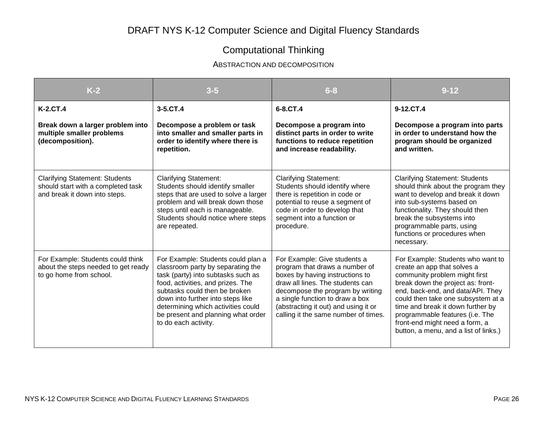# Computational Thinking

#### ABSTRACTION AND DECOMPOSITION

| $K-2$                                                                                                        | $3 - 5$                                                                                                                                                                                                                                                                                                                      | $6 - 8$                                                                                                                                                                                                                                                                                      | $9 - 12$                                                                                                                                                                                                                                                                                                                                                             |
|--------------------------------------------------------------------------------------------------------------|------------------------------------------------------------------------------------------------------------------------------------------------------------------------------------------------------------------------------------------------------------------------------------------------------------------------------|----------------------------------------------------------------------------------------------------------------------------------------------------------------------------------------------------------------------------------------------------------------------------------------------|----------------------------------------------------------------------------------------------------------------------------------------------------------------------------------------------------------------------------------------------------------------------------------------------------------------------------------------------------------------------|
| <b>K-2.CT.4</b><br>Break down a larger problem into<br>multiple smaller problems<br>(decomposition).         | 3-5.CT.4<br>Decompose a problem or task<br>into smaller and smaller parts in<br>order to identify where there is<br>repetition.                                                                                                                                                                                              | 6-8.CT.4<br>Decompose a program into<br>distinct parts in order to write<br>functions to reduce repetition<br>and increase readability.                                                                                                                                                      | 9-12.CT.4<br>Decompose a program into parts<br>in order to understand how the<br>program should be organized<br>and written.                                                                                                                                                                                                                                         |
| <b>Clarifying Statement: Students</b><br>should start with a completed task<br>and break it down into steps. | <b>Clarifying Statement:</b><br>Students should identify smaller<br>steps that are used to solve a larger<br>problem and will break down those<br>steps until each is manageable.<br>Students should notice where steps<br>are repeated.                                                                                     | <b>Clarifying Statement:</b><br>Students should identify where<br>there is repetition in code or<br>potential to reuse a segment of<br>code in order to develop that<br>segment into a function or<br>procedure.                                                                             | <b>Clarifying Statement: Students</b><br>should think about the program they<br>want to develop and break it down<br>into sub-systems based on<br>functionality. They should then<br>break the subsystems into<br>programmable parts, using<br>functions or procedures when<br>necessary.                                                                            |
| For Example: Students could think<br>about the steps needed to get ready<br>to go home from school.          | For Example: Students could plan a<br>classroom party by separating the<br>task (party) into subtasks such as<br>food, activities, and prizes. The<br>subtasks could then be broken<br>down into further into steps like<br>determining which activities could<br>be present and planning what order<br>to do each activity. | For Example: Give students a<br>program that draws a number of<br>boxes by having instructions to<br>draw all lines. The students can<br>decompose the program by writing<br>a single function to draw a box<br>(abstracting it out) and using it or<br>calling it the same number of times. | For Example: Students who want to<br>create an app that solves a<br>community problem might first<br>break down the project as: front-<br>end, back-end, and data/API. They<br>could then take one subsystem at a<br>time and break it down further by<br>programmable features (i.e. The<br>front-end might need a form, a<br>button, a menu, and a list of links.) |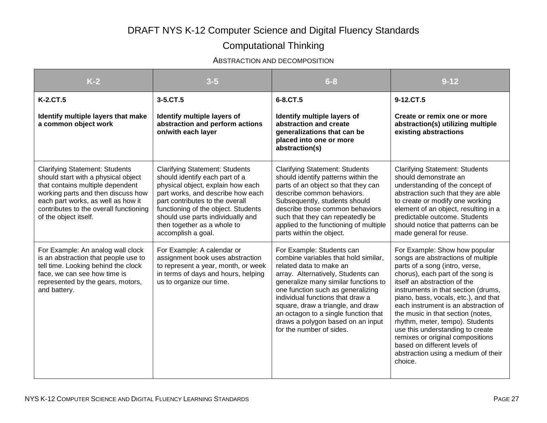### Computational Thinking

#### ABSTRACTION AND DECOMPOSITION

| $K-2$                                                                                                                                                                                                                                                           | $3 - 5$                                                                                                                                                                                                                                                                                                               | $6 - 8$                                                                                                                                                                                                                                                                                                                                                                                           | $9 - 12$                                                                                                                                                                                                                                                                                                                                                                                                                                                                                                                            |
|-----------------------------------------------------------------------------------------------------------------------------------------------------------------------------------------------------------------------------------------------------------------|-----------------------------------------------------------------------------------------------------------------------------------------------------------------------------------------------------------------------------------------------------------------------------------------------------------------------|---------------------------------------------------------------------------------------------------------------------------------------------------------------------------------------------------------------------------------------------------------------------------------------------------------------------------------------------------------------------------------------------------|-------------------------------------------------------------------------------------------------------------------------------------------------------------------------------------------------------------------------------------------------------------------------------------------------------------------------------------------------------------------------------------------------------------------------------------------------------------------------------------------------------------------------------------|
| <b>K-2.CT.5</b>                                                                                                                                                                                                                                                 | 3-5.CT.5                                                                                                                                                                                                                                                                                                              | 6-8.CT.5                                                                                                                                                                                                                                                                                                                                                                                          | 9-12.CT.5                                                                                                                                                                                                                                                                                                                                                                                                                                                                                                                           |
| Identify multiple layers that make<br>a common object work                                                                                                                                                                                                      | Identify multiple layers of<br>abstraction and perform actions<br>on/with each layer                                                                                                                                                                                                                                  | Identify multiple layers of<br>abstraction and create<br>generalizations that can be<br>placed into one or more<br>abstraction(s)                                                                                                                                                                                                                                                                 | Create or remix one or more<br>abstraction(s) utilizing multiple<br>existing abstractions                                                                                                                                                                                                                                                                                                                                                                                                                                           |
| <b>Clarifying Statement: Students</b><br>should start with a physical object<br>that contains multiple dependent<br>working parts and then discuss how<br>each part works, as well as how it<br>contributes to the overall functioning<br>of the object itself. | <b>Clarifying Statement: Students</b><br>should identify each part of a<br>physical object, explain how each<br>part works, and describe how each<br>part contributes to the overall<br>functioning of the object. Students<br>should use parts individually and<br>then together as a whole to<br>accomplish a goal. | <b>Clarifying Statement: Students</b><br>should identify patterns within the<br>parts of an object so that they can<br>describe common behaviors.<br>Subsequently, students should<br>describe those common behaviors<br>such that they can repeatedly be<br>applied to the functioning of multiple<br>parts within the object.                                                                   | <b>Clarifying Statement: Students</b><br>should demonstrate an<br>understanding of the concept of<br>abstraction such that they are able<br>to create or modify one working<br>element of an object, resulting in a<br>predictable outcome. Students<br>should notice that patterns can be<br>made general for reuse.                                                                                                                                                                                                               |
| For Example: An analog wall clock<br>is an abstraction that people use to<br>tell time. Looking behind the clock<br>face, we can see how time is<br>represented by the gears, motors,<br>and battery.                                                           | For Example: A calendar or<br>assignment book uses abstraction<br>to represent a year, month, or week<br>in terms of days and hours, helping<br>us to organize our time.                                                                                                                                              | For Example: Students can<br>combine variables that hold similar,<br>related data to make an<br>array. Alternatively, Students can<br>generalize many similar functions to<br>one function such as generalizing<br>individual functions that draw a<br>square, draw a triangle, and draw<br>an octagon to a single function that<br>draws a polygon based on an input<br>for the number of sides. | For Example: Show how popular<br>songs are abstractions of multiple<br>parts of a song (intro, verse,<br>chorus), each part of the song is<br>itself an abstraction of the<br>instruments in that section (drums,<br>piano, bass, vocals, etc.), and that<br>each instrument is an abstraction of<br>the music in that section (notes,<br>rhythm, meter, tempo). Students<br>use this understanding to create<br>remixes or original compositions<br>based on different levels of<br>abstraction using a medium of their<br>choice. |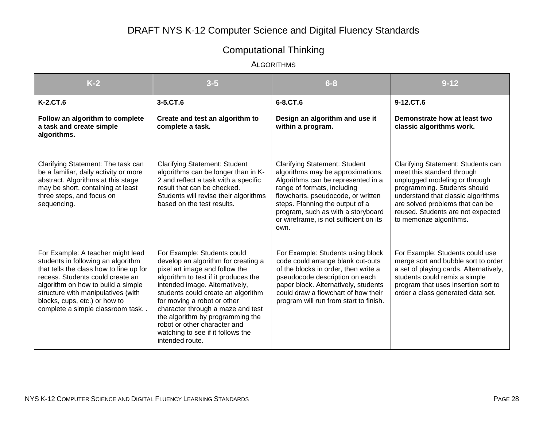# Computational Thinking

ALGORITHMS

| $K-2$                                                                                                                                                                                                                                                                                                   | $3 - 5$                                                                                                                                                                                                                                                                                                                                                                                                              | $6 - 8$                                                                                                                                                                                                                                                                                                         | $9 - 12$                                                                                                                                                                                                                                                                   |
|---------------------------------------------------------------------------------------------------------------------------------------------------------------------------------------------------------------------------------------------------------------------------------------------------------|----------------------------------------------------------------------------------------------------------------------------------------------------------------------------------------------------------------------------------------------------------------------------------------------------------------------------------------------------------------------------------------------------------------------|-----------------------------------------------------------------------------------------------------------------------------------------------------------------------------------------------------------------------------------------------------------------------------------------------------------------|----------------------------------------------------------------------------------------------------------------------------------------------------------------------------------------------------------------------------------------------------------------------------|
| K-2.CT.6                                                                                                                                                                                                                                                                                                | 3-5.CT.6                                                                                                                                                                                                                                                                                                                                                                                                             | 6-8.CT.6                                                                                                                                                                                                                                                                                                        | 9-12.CT.6                                                                                                                                                                                                                                                                  |
| Follow an algorithm to complete<br>a task and create simple<br>algorithms.                                                                                                                                                                                                                              | Create and test an algorithm to<br>complete a task.                                                                                                                                                                                                                                                                                                                                                                  | Design an algorithm and use it<br>within a program.                                                                                                                                                                                                                                                             | Demonstrate how at least two<br>classic algorithms work.                                                                                                                                                                                                                   |
| Clarifying Statement: The task can<br>be a familiar, daily activity or more<br>abstract. Algorithms at this stage<br>may be short, containing at least<br>three steps, and focus on<br>sequencing.                                                                                                      | <b>Clarifying Statement: Student</b><br>algorithms can be longer than in K-<br>2 and reflect a task with a specific<br>result that can be checked.<br>Students will revise their algorithms<br>based on the test results.                                                                                                                                                                                            | <b>Clarifying Statement: Student</b><br>algorithms may be approximations.<br>Algorithms can be represented in a<br>range of formats, including<br>flowcharts, pseudocode, or written<br>steps. Planning the output of a<br>program, such as with a storyboard<br>or wireframe, is not sufficient on its<br>own. | Clarifying Statement: Students can<br>meet this standard through<br>unplugged modeling or through<br>programming. Students should<br>understand that classic algorithms<br>are solved problems that can be<br>reused. Students are not expected<br>to memorize algorithms. |
| For Example: A teacher might lead<br>students in following an algorithm<br>that tells the class how to line up for<br>recess. Students could create an<br>algorithm on how to build a simple<br>structure with manipulatives (with<br>blocks, cups, etc.) or how to<br>complete a simple classroom task | For Example: Students could<br>develop an algorithm for creating a<br>pixel art image and follow the<br>algorithm to test if it produces the<br>intended image. Alternatively,<br>students could create an algorithm<br>for moving a robot or other<br>character through a maze and test<br>the algorithm by programming the<br>robot or other character and<br>watching to see if it follows the<br>intended route. | For Example: Students using block<br>code could arrange blank cut-outs<br>of the blocks in order, then write a<br>pseudocode description on each<br>paper block. Alternatively, students<br>could draw a flowchart of how their<br>program will run from start to finish.                                       | For Example: Students could use<br>merge sort and bubble sort to order<br>a set of playing cards. Alternatively,<br>students could remix a simple<br>program that uses insertion sort to<br>order a class generated data set.                                              |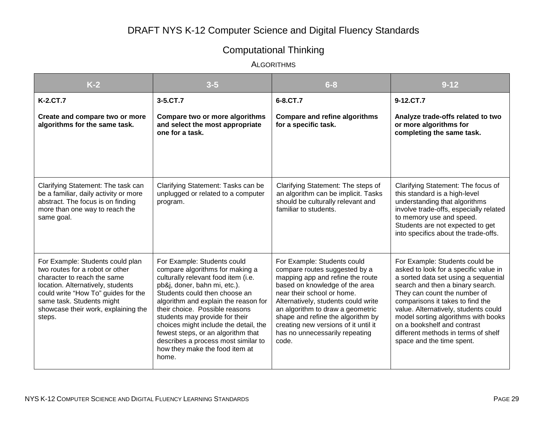# Computational Thinking

ALGORITHMS

| $K-2$                                                                                                                                                                                                                                                        | $3 - 5$                                                                                                                                                                                                                                                                                                                                                                                                                                             | $6 - 8$                                                                                                                                                                                                                                                                                                                                                             | $9 - 12$                                                                                                                                                                                                                                                                                                                                                                                                  |
|--------------------------------------------------------------------------------------------------------------------------------------------------------------------------------------------------------------------------------------------------------------|-----------------------------------------------------------------------------------------------------------------------------------------------------------------------------------------------------------------------------------------------------------------------------------------------------------------------------------------------------------------------------------------------------------------------------------------------------|---------------------------------------------------------------------------------------------------------------------------------------------------------------------------------------------------------------------------------------------------------------------------------------------------------------------------------------------------------------------|-----------------------------------------------------------------------------------------------------------------------------------------------------------------------------------------------------------------------------------------------------------------------------------------------------------------------------------------------------------------------------------------------------------|
| K-2.CT.7                                                                                                                                                                                                                                                     | 3-5.CT.7                                                                                                                                                                                                                                                                                                                                                                                                                                            | 6-8.CT.7                                                                                                                                                                                                                                                                                                                                                            | 9-12.CT.7                                                                                                                                                                                                                                                                                                                                                                                                 |
| Create and compare two or more<br>algorithms for the same task.                                                                                                                                                                                              | Compare two or more algorithms<br>and select the most appropriate<br>one for a task.                                                                                                                                                                                                                                                                                                                                                                | <b>Compare and refine algorithms</b><br>for a specific task.                                                                                                                                                                                                                                                                                                        | Analyze trade-offs related to two<br>or more algorithms for<br>completing the same task.                                                                                                                                                                                                                                                                                                                  |
| Clarifying Statement: The task can<br>be a familiar, daily activity or more<br>abstract. The focus is on finding<br>more than one way to reach the<br>same goal.                                                                                             | Clarifying Statement: Tasks can be<br>unplugged or related to a computer<br>program.                                                                                                                                                                                                                                                                                                                                                                | Clarifying Statement: The steps of<br>an algorithm can be implicit. Tasks<br>should be culturally relevant and<br>familiar to students.                                                                                                                                                                                                                             | Clarifying Statement: The focus of<br>this standard is a high-level<br>understanding that algorithms<br>involve trade-offs, especially related<br>to memory use and speed.<br>Students are not expected to get<br>into specifics about the trade-offs.                                                                                                                                                    |
| For Example: Students could plan<br>two routes for a robot or other<br>character to reach the same<br>location. Alternatively, students<br>could write "How To" guides for the<br>same task. Students might<br>showcase their work, explaining the<br>steps. | For Example: Students could<br>compare algorithms for making a<br>culturally relevant food item (i.e.<br>pb&j, doner, bahn mi, etc.).<br>Students could then choose an<br>algorithm and explain the reason for<br>their choice. Possible reasons<br>students may provide for their<br>choices might include the detail, the<br>fewest steps, or an algorithm that<br>describes a process most similar to<br>how they make the food item at<br>home. | For Example: Students could<br>compare routes suggested by a<br>mapping app and refine the route<br>based on knowledge of the area<br>near their school or home.<br>Alternatively, students could write<br>an algorithm to draw a geometric<br>shape and refine the algorithm by<br>creating new versions of it until it<br>has no unnecessarily repeating<br>code. | For Example: Students could be<br>asked to look for a specific value in<br>a sorted data set using a sequential<br>search and then a binary search.<br>They can count the number of<br>comparisons it takes to find the<br>value. Alternatively, students could<br>model sorting algorithms with books<br>on a bookshelf and contrast<br>different methods in terms of shelf<br>space and the time spent. |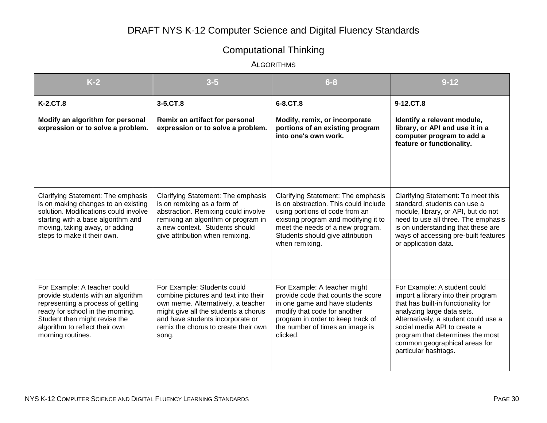# Computational Thinking

ALGORITHMS

| $K-2$                                                                                                                                                                                                                               | $3 - 5$                                                                                                                                                                                                                                | $6 - 8$                                                                                                                                                                                                                                         | $9 - 12$                                                                                                                                                                                                                                                                                                      |
|-------------------------------------------------------------------------------------------------------------------------------------------------------------------------------------------------------------------------------------|----------------------------------------------------------------------------------------------------------------------------------------------------------------------------------------------------------------------------------------|-------------------------------------------------------------------------------------------------------------------------------------------------------------------------------------------------------------------------------------------------|---------------------------------------------------------------------------------------------------------------------------------------------------------------------------------------------------------------------------------------------------------------------------------------------------------------|
| <b>K-2.CT.8</b>                                                                                                                                                                                                                     | 3-5.CT.8                                                                                                                                                                                                                               | 6-8.CT.8                                                                                                                                                                                                                                        | 9-12.CT.8                                                                                                                                                                                                                                                                                                     |
| Modify an algorithm for personal<br>expression or to solve a problem.                                                                                                                                                               | Remix an artifact for personal<br>expression or to solve a problem.                                                                                                                                                                    | Modify, remix, or incorporate<br>portions of an existing program<br>into one's own work.                                                                                                                                                        | Identify a relevant module,<br>library, or API and use it in a<br>computer program to add a<br>feature or functionality.                                                                                                                                                                                      |
| Clarifying Statement: The emphasis<br>is on making changes to an existing<br>solution. Modifications could involve<br>starting with a base algorithm and<br>moving, taking away, or adding<br>steps to make it their own.           | Clarifying Statement: The emphasis<br>is on remixing as a form of<br>abstraction. Remixing could involve<br>remixing an algorithm or program in<br>a new context. Students should<br>give attribution when remixing.                   | Clarifying Statement: The emphasis<br>is on abstraction. This could include<br>using portions of code from an<br>existing program and modifying it to<br>meet the needs of a new program.<br>Students should give attribution<br>when remixing. | Clarifying Statement: To meet this<br>standard, students can use a<br>module, library, or API, but do not<br>need to use all three. The emphasis<br>is on understanding that these are<br>ways of accessing pre-built features<br>or application data.                                                        |
| For Example: A teacher could<br>provide students with an algorithm<br>representing a process of getting<br>ready for school in the morning.<br>Student then might revise the<br>algorithm to reflect their own<br>morning routines. | For Example: Students could<br>combine pictures and text into their<br>own meme. Alternatively, a teacher<br>might give all the students a chorus<br>and have students incorporate or<br>remix the chorus to create their own<br>song. | For Example: A teacher might<br>provide code that counts the score<br>in one game and have students<br>modify that code for another<br>program in order to keep track of<br>the number of times an image is<br>clicked.                         | For Example: A student could<br>import a library into their program<br>that has built-in functionality for<br>analyzing large data sets.<br>Alternatively, a student could use a<br>social media API to create a<br>program that determines the most<br>common geographical areas for<br>particular hashtags. |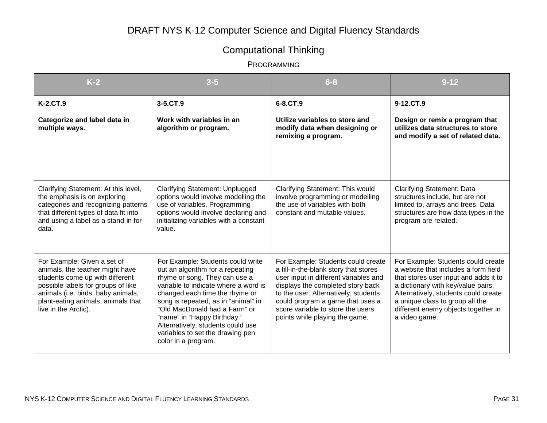# Computational Thinking

| $K-2$                                                                                                                                                                                                                                       | $3 - 5$                                                                                                                                                                                                                                                                                                                                                                                 | $6 - 8$                                                                                                                                                                                                                                                                                                      | $9 - 12$                                                                                                                                                                                                                                                                                     |
|---------------------------------------------------------------------------------------------------------------------------------------------------------------------------------------------------------------------------------------------|-----------------------------------------------------------------------------------------------------------------------------------------------------------------------------------------------------------------------------------------------------------------------------------------------------------------------------------------------------------------------------------------|--------------------------------------------------------------------------------------------------------------------------------------------------------------------------------------------------------------------------------------------------------------------------------------------------------------|----------------------------------------------------------------------------------------------------------------------------------------------------------------------------------------------------------------------------------------------------------------------------------------------|
| K-2.CT.9                                                                                                                                                                                                                                    | 3-5.CT.9                                                                                                                                                                                                                                                                                                                                                                                | 6-8.CT.9                                                                                                                                                                                                                                                                                                     | 9-12.CT.9                                                                                                                                                                                                                                                                                    |
| Categorize and label data in<br>multiple ways.                                                                                                                                                                                              | Work with variables in an<br>algorithm or program.                                                                                                                                                                                                                                                                                                                                      | Utilize variables to store and<br>modify data when designing or<br>remixing a program.                                                                                                                                                                                                                       | Design or remix a program that<br>utilizes data structures to store<br>and modify a set of related data.                                                                                                                                                                                     |
| Clarifying Statement: At this level,<br>the emphasis is on exploring<br>categories and recognizing patterns<br>that different types of data fit into<br>and using a label as a stand-in for<br>data.                                        | Clarifying Statement: Unplugged<br>options would involve modelling the<br>use of variables. Programming<br>options would involve declaring and<br>initializing variables with a constant<br>value.                                                                                                                                                                                      | Clarifying Statement: This would<br>involve programming or modelling<br>the use of variables with both<br>constant and mutable values.                                                                                                                                                                       | <b>Clarifying Statement: Data</b><br>structures include, but are not<br>limited to, arrays and trees. Data<br>structures are how data types in the<br>program are related.                                                                                                                   |
| For Example: Given a set of<br>animals, the teacher might have<br>students come up with different<br>possible labels for groups of like<br>animals (i.e. birds, baby animals,<br>plant-eating animals, animals that<br>live in the Arctic). | For Example: Students could write<br>out an algorithm for a repeating<br>rhyme or song. They can use a<br>variable to indicate where a word is<br>changed each time the rhyme or<br>song is repeated, as in "animal" in<br>"Old MacDonald had a Farm" or<br>"name" in "Happy Birthday."<br>Alternatively, students could use<br>variables to set the drawing pen<br>color in a program. | For Example: Students could create<br>a fill-in-the-blank story that stores<br>user input in different variables and<br>displays the completed story back<br>to the user. Alternatively, students<br>could program a game that uses a<br>score variable to store the users<br>points while playing the game. | For Example: Students could create<br>a website that includes a form field<br>that stores user input and adds it to<br>a dictionary with key/value pairs.<br>Alternatively, students could create<br>a unique class to group all the<br>different enemy objects together in<br>a video game. |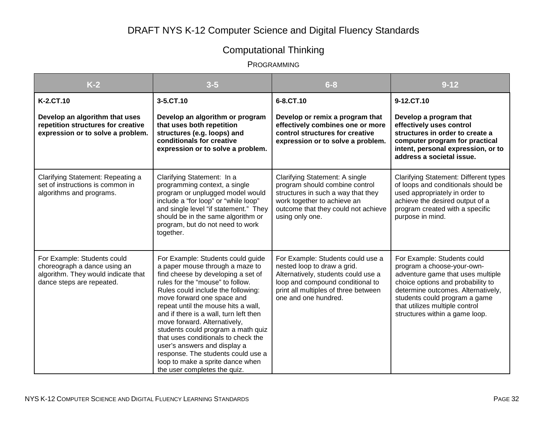# Computational Thinking

| $K-2$                                                                                                                           | $3 - 5$                                                                                                                                                                                                                                                                                                                                                                                                                                                                                                                                                    | $6 - 8$                                                                                                                                                                                                     | $9 - 12$                                                                                                                                                                                                                                                                       |
|---------------------------------------------------------------------------------------------------------------------------------|------------------------------------------------------------------------------------------------------------------------------------------------------------------------------------------------------------------------------------------------------------------------------------------------------------------------------------------------------------------------------------------------------------------------------------------------------------------------------------------------------------------------------------------------------------|-------------------------------------------------------------------------------------------------------------------------------------------------------------------------------------------------------------|--------------------------------------------------------------------------------------------------------------------------------------------------------------------------------------------------------------------------------------------------------------------------------|
| K-2.CT.10                                                                                                                       | 3-5.CT.10                                                                                                                                                                                                                                                                                                                                                                                                                                                                                                                                                  | 6-8.CT.10                                                                                                                                                                                                   | 9-12.CT.10                                                                                                                                                                                                                                                                     |
| Develop an algorithm that uses<br>repetition structures for creative<br>expression or to solve a problem.                       | Develop an algorithm or program<br>that uses both repetition<br>structures (e.g. loops) and<br>conditionals for creative<br>expression or to solve a problem.                                                                                                                                                                                                                                                                                                                                                                                              | Develop or remix a program that<br>effectively combines one or more<br>control structures for creative<br>expression or to solve a problem.                                                                 | Develop a program that<br>effectively uses control<br>structures in order to create a<br>computer program for practical<br>intent, personal expression, or to<br>address a societal issue.                                                                                     |
| Clarifying Statement: Repeating a<br>set of instructions is common in<br>algorithms and programs.                               | Clarifying Statement: In a<br>programming context, a single<br>program or unplugged model would<br>include a "for loop" or "while loop"<br>and single level "if statement." They<br>should be in the same algorithm or<br>program, but do not need to work<br>together.                                                                                                                                                                                                                                                                                    | Clarifying Statement: A single<br>program should combine control<br>structures in such a way that they<br>work together to achieve an<br>outcome that they could not achieve<br>using only one.             | <b>Clarifying Statement: Different types</b><br>of loops and conditionals should be<br>used appropriately in order to<br>achieve the desired output of a<br>program created with a specific<br>purpose in mind.                                                                |
| For Example: Students could<br>choreograph a dance using an<br>algorithm. They would indicate that<br>dance steps are repeated. | For Example: Students could guide<br>a paper mouse through a maze to<br>find cheese by developing a set of<br>rules for the "mouse" to follow.<br>Rules could include the following:<br>move forward one space and<br>repeat until the mouse hits a wall,<br>and if there is a wall, turn left then<br>move forward. Alternatively,<br>students could program a math quiz<br>that uses conditionals to check the<br>user's answers and display a<br>response. The students could use a<br>loop to make a sprite dance when<br>the user completes the quiz. | For Example: Students could use a<br>nested loop to draw a grid.<br>Alternatively, students could use a<br>loop and compound conditional to<br>print all multiples of three between<br>one and one hundred. | For Example: Students could<br>program a choose-your-own-<br>adventure game that uses multiple<br>choice options and probability to<br>determine outcomes. Alternatively,<br>students could program a game<br>that utilizes multiple control<br>structures within a game loop. |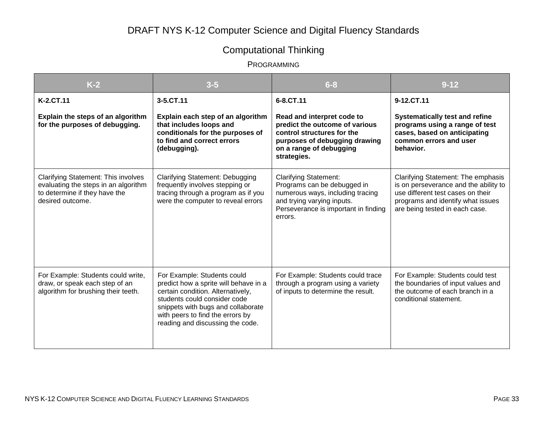# Computational Thinking

| $K-2$                                                                                                                                   | $3 - 5$                                                                                                                                                                                                                                                 | $6 - 8$                                                                                                                                                                          | $9 - 12$                                                                                                                                                                                |
|-----------------------------------------------------------------------------------------------------------------------------------------|---------------------------------------------------------------------------------------------------------------------------------------------------------------------------------------------------------------------------------------------------------|----------------------------------------------------------------------------------------------------------------------------------------------------------------------------------|-----------------------------------------------------------------------------------------------------------------------------------------------------------------------------------------|
| K-2.CT.11                                                                                                                               | 3-5.CT.11                                                                                                                                                                                                                                               | 6-8.CT.11                                                                                                                                                                        | 9-12.CT.11                                                                                                                                                                              |
| Explain the steps of an algorithm<br>for the purposes of debugging.                                                                     | Explain each step of an algorithm<br>that includes loops and<br>conditionals for the purposes of<br>to find and correct errors<br>(debugging).                                                                                                          | Read and interpret code to<br>predict the outcome of various<br>control structures for the<br>purposes of debugging drawing<br>on a range of debugging<br>strategies.            | <b>Systematically test and refine</b><br>programs using a range of test<br>cases, based on anticipating<br>common errors and user<br>behavior.                                          |
| <b>Clarifying Statement: This involves</b><br>evaluating the steps in an algorithm<br>to determine if they have the<br>desired outcome. | Clarifying Statement: Debugging<br>frequently involves stepping or<br>tracing through a program as if you<br>were the computer to reveal errors                                                                                                         | <b>Clarifying Statement:</b><br>Programs can be debugged in<br>numerous ways, including tracing<br>and trying varying inputs.<br>Perseverance is important in finding<br>errors. | Clarifying Statement: The emphasis<br>is on perseverance and the ability to<br>use different test cases on their<br>programs and identify what issues<br>are being tested in each case. |
| For Example: Students could write,<br>draw, or speak each step of an<br>algorithm for brushing their teeth.                             | For Example: Students could<br>predict how a sprite will behave in a<br>certain condition. Alternatively,<br>students could consider code<br>snippets with bugs and collaborate<br>with peers to find the errors by<br>reading and discussing the code. | For Example: Students could trace<br>through a program using a variety<br>of inputs to determine the result.                                                                     | For Example: Students could test<br>the boundaries of input values and<br>the outcome of each branch in a<br>conditional statement.                                                     |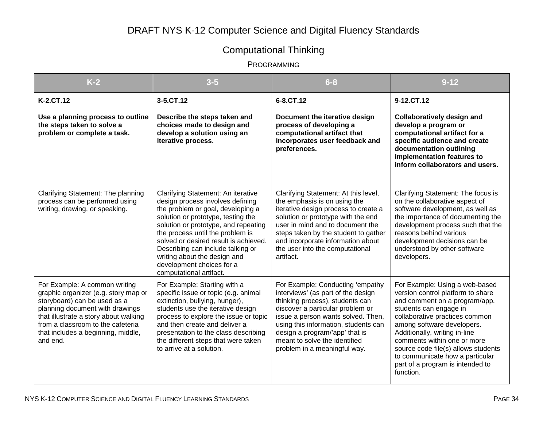# Computational Thinking

| $K-2$                                                                                                                                                                                                                                                                    | $3 - 5$                                                                                                                                                                                                                                                                                                                                                                                             | $6 - 8$                                                                                                                                                                                                                                                                                                                        | $9 - 12$                                                                                                                                                                                                                                                                                                                                                                                  |
|--------------------------------------------------------------------------------------------------------------------------------------------------------------------------------------------------------------------------------------------------------------------------|-----------------------------------------------------------------------------------------------------------------------------------------------------------------------------------------------------------------------------------------------------------------------------------------------------------------------------------------------------------------------------------------------------|--------------------------------------------------------------------------------------------------------------------------------------------------------------------------------------------------------------------------------------------------------------------------------------------------------------------------------|-------------------------------------------------------------------------------------------------------------------------------------------------------------------------------------------------------------------------------------------------------------------------------------------------------------------------------------------------------------------------------------------|
| K-2.CT.12                                                                                                                                                                                                                                                                | 3-5.CT.12                                                                                                                                                                                                                                                                                                                                                                                           | 6-8.CT.12                                                                                                                                                                                                                                                                                                                      | 9-12.CT.12                                                                                                                                                                                                                                                                                                                                                                                |
| Use a planning process to outline<br>the steps taken to solve a<br>problem or complete a task.                                                                                                                                                                           | Describe the steps taken and<br>choices made to design and<br>develop a solution using an<br>iterative process.                                                                                                                                                                                                                                                                                     | Document the iterative design<br>process of developing a<br>computational artifact that<br>incorporates user feedback and<br>preferences.                                                                                                                                                                                      | <b>Collaboratively design and</b><br>develop a program or<br>computational artifact for a<br>specific audience and create<br>documentation outlining<br>implementation features to<br>inform collaborators and users.                                                                                                                                                                     |
| Clarifying Statement: The planning<br>process can be performed using<br>writing, drawing, or speaking.                                                                                                                                                                   | Clarifying Statement: An iterative<br>design process involves defining<br>the problem or goal, developing a<br>solution or prototype, testing the<br>solution or prototype, and repeating<br>the process until the problem is<br>solved or desired result is achieved.<br>Describing can include talking or<br>writing about the design and<br>development choices for a<br>computational artifact. | Clarifying Statement: At this level,<br>the emphasis is on using the<br>iterative design process to create a<br>solution or prototype with the end<br>user in mind and to document the<br>steps taken by the student to gather<br>and incorporate information about<br>the user into the computational<br>artifact.            | Clarifying Statement: The focus is<br>on the collaborative aspect of<br>software development, as well as<br>the importance of documenting the<br>development process such that the<br>reasons behind various<br>development decisions can be<br>understood by other software<br>developers.                                                                                               |
| For Example: A common writing<br>graphic organizer (e.g. story map or<br>storyboard) can be used as a<br>planning document with drawings<br>that illustrate a story about walking<br>from a classroom to the cafeteria<br>that includes a beginning, middle,<br>and end. | For Example: Starting with a<br>specific issue or topic (e.g. animal<br>extinction, bullying, hunger),<br>students use the iterative design<br>process to explore the issue or topic<br>and then create and deliver a<br>presentation to the class describing<br>the different steps that were taken<br>to arrive at a solution.                                                                    | For Example: Conducting 'empathy<br>interviews' (as part of the design<br>thinking process), students can<br>discover a particular problem or<br>issue a person wants solved. Then,<br>using this information, students can<br>design a program/'app' that is<br>meant to solve the identified<br>problem in a meaningful way. | For Example: Using a web-based<br>version control platform to share<br>and comment on a program/app,<br>students can engage in<br>collaborative practices common<br>among software developers.<br>Additionally, writing in-line<br>comments within one or more<br>source code file(s) allows students<br>to communicate how a particular<br>part of a program is intended to<br>function. |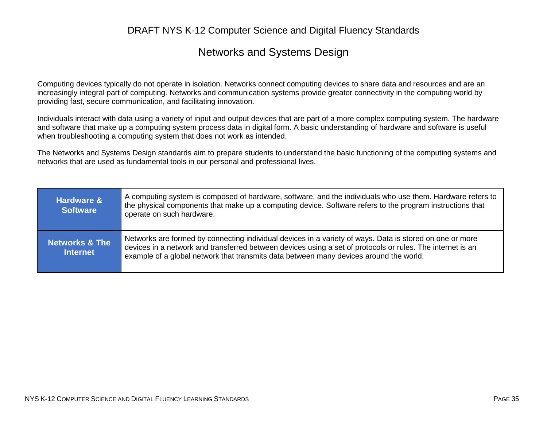### Networks and Systems Design

Computing devices typically do not operate in isolation. Networks connect computing devices to share data and resources and are an increasingly integral part of computing. Networks and communication systems provide greater connectivity in the computing world by providing fast, secure communication, and facilitating innovation.

Individuals interact with data using a variety of input and output devices that are part of a more complex computing system. The hardware and software that make up a computing system process data in digital form. A basic understanding of hardware and software is useful when troubleshooting a computing system that does not work as intended.

The Networks and Systems Design standards aim to prepare students to understand the basic functioning of the computing systems and networks that are used as fundamental tools in our personal and professional lives.

| <b>Hardware &amp;</b><br><b>Software</b>     | A computing system is composed of hardware, software, and the individuals who use them. Hardware refers to<br>the physical components that make up a computing device. Software refers to the program instructions that<br>operate on such hardware.                                                             |
|----------------------------------------------|------------------------------------------------------------------------------------------------------------------------------------------------------------------------------------------------------------------------------------------------------------------------------------------------------------------|
| <b>Networks &amp; The</b><br><b>Internet</b> | Networks are formed by connecting individual devices in a variety of ways. Data is stored on one or more<br>devices in a network and transferred between devices using a set of protocols or rules. The internet is an<br>example of a global network that transmits data between many devices around the world. |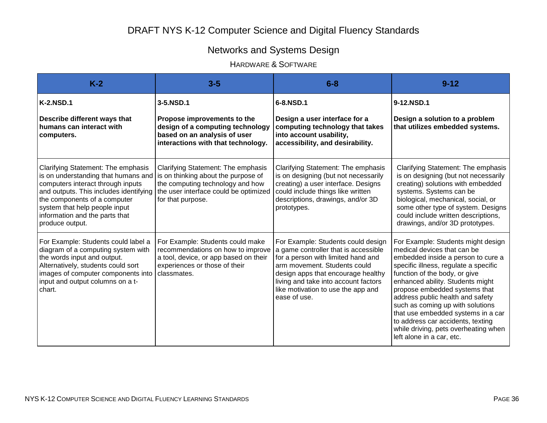# Networks and Systems Design

### HARDWARE & SOFTWARE

| $K-2$                                                                                                                                                                                                                                                                          | $3-5$                                                                                                                                                                       | $6 - 8$                                                                                                                                                                                                                                                                              | $9 - 12$                                                                                                                                                                                                                                                                                                                                                                                                                                                                       |
|--------------------------------------------------------------------------------------------------------------------------------------------------------------------------------------------------------------------------------------------------------------------------------|-----------------------------------------------------------------------------------------------------------------------------------------------------------------------------|--------------------------------------------------------------------------------------------------------------------------------------------------------------------------------------------------------------------------------------------------------------------------------------|--------------------------------------------------------------------------------------------------------------------------------------------------------------------------------------------------------------------------------------------------------------------------------------------------------------------------------------------------------------------------------------------------------------------------------------------------------------------------------|
| <b>K-2.NSD.1</b>                                                                                                                                                                                                                                                               | 3-5.NSD.1                                                                                                                                                                   | 6-8.NSD.1                                                                                                                                                                                                                                                                            | 9-12.NSD.1                                                                                                                                                                                                                                                                                                                                                                                                                                                                     |
| Describe different ways that<br>humans can interact with<br>computers.                                                                                                                                                                                                         | Propose improvements to the<br>design of a computing technology<br>based on an analysis of user<br>interactions with that technology.                                       | Design a user interface for a<br>computing technology that takes<br>into account usability,<br>accessibility, and desirability.                                                                                                                                                      | Design a solution to a problem<br>that utilizes embedded systems.                                                                                                                                                                                                                                                                                                                                                                                                              |
| Clarifying Statement: The emphasis<br>is on understanding that humans and<br>computers interact through inputs<br>and outputs. This includes identifying<br>the components of a computer<br>system that help people input<br>information and the parts that<br>produce output. | Clarifying Statement: The emphasis<br>is on thinking about the purpose of<br>the computing technology and how<br>the user interface could be optimized<br>for that purpose. | Clarifying Statement: The emphasis<br>is on designing (but not necessarily<br>creating) a user interface. Designs<br>could include things like written<br>descriptions, drawings, and/or 3D<br>prototypes.                                                                           | Clarifying Statement: The emphasis<br>is on designing (but not necessarily<br>creating) solutions with embedded<br>systems. Systems can be<br>biological, mechanical, social, or<br>some other type of system. Designs<br>could include written descriptions,<br>drawings, and/or 3D prototypes.                                                                                                                                                                               |
| For Example: Students could label a<br>diagram of a computing system with<br>the words input and output.<br>Alternatively, students could sort<br>images of computer components into<br>input and output columns on a t-<br>chart.                                             | For Example: Students could make<br>recommendations on how to improve<br>a tool, device, or app based on their<br>experiences or those of their<br>classmates.              | For Example: Students could design<br>a game controller that is accessible<br>for a person with limited hand and<br>arm movement. Students could<br>design apps that encourage healthy<br>living and take into account factors<br>like motivation to use the app and<br>ease of use. | For Example: Students might design<br>medical devices that can be<br>embedded inside a person to cure a<br>specific illness, regulate a specific<br>function of the body, or give<br>enhanced ability. Students might<br>propose embedded systems that<br>address public health and safety<br>such as coming up with solutions<br>that use embedded systems in a car<br>to address car accidents, texting<br>while driving, pets overheating when<br>left alone in a car, etc. |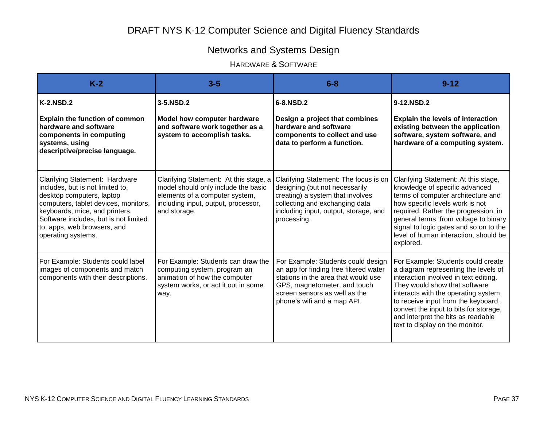# Networks and Systems Design

### HARDWARE & SOFTWARE

| $K-2$                                                                                                                                                                                                                                                                   | $3-5$                                                                                                                                                                  | $6 - 8$                                                                                                                                                                                                             | $9 - 12$                                                                                                                                                                                                                                                                                                                                              |
|-------------------------------------------------------------------------------------------------------------------------------------------------------------------------------------------------------------------------------------------------------------------------|------------------------------------------------------------------------------------------------------------------------------------------------------------------------|---------------------------------------------------------------------------------------------------------------------------------------------------------------------------------------------------------------------|-------------------------------------------------------------------------------------------------------------------------------------------------------------------------------------------------------------------------------------------------------------------------------------------------------------------------------------------------------|
| <b>K-2.NSD.2</b>                                                                                                                                                                                                                                                        | 3-5.NSD.2                                                                                                                                                              | 6-8.NSD.2                                                                                                                                                                                                           | 9-12.NSD.2                                                                                                                                                                                                                                                                                                                                            |
| <b>Explain the function of common</b><br>hardware and software<br>components in computing<br>systems, using<br>descriptive/precise language.                                                                                                                            | <b>Model how computer hardware</b><br>and software work together as a<br>system to accomplish tasks.                                                                   | Design a project that combines<br>hardware and software<br>components to collect and use<br>data to perform a function.                                                                                             | <b>Explain the levels of interaction</b><br>existing between the application<br>software, system software, and<br>hardware of a computing system.                                                                                                                                                                                                     |
| Clarifying Statement: Hardware<br>includes, but is not limited to,<br>desktop computers, laptop<br>computers, tablet devices, monitors,<br>keyboards, mice, and printers.<br>Software includes, but is not limited<br>to, apps, web browsers, and<br>operating systems. | Clarifying Statement: At this stage, a<br>model should only include the basic<br>elements of a computer system,<br>including input, output, processor,<br>and storage. | Clarifying Statement: The focus is on<br>designing (but not necessarily<br>creating) a system that involves<br>collecting and exchanging data<br>including input, output, storage, and<br>processing.               | Clarifying Statement: At this stage,<br>knowledge of specific advanced<br>terms of computer architecture and<br>how specific levels work is not<br>required. Rather the progression, in<br>general terms, from voltage to binary<br>signal to logic gates and so on to the<br>level of human interaction, should be<br>explored.                      |
| For Example: Students could label<br>images of components and match<br>components with their descriptions.                                                                                                                                                              | For Example: Students can draw the<br>computing system, program an<br>animation of how the computer<br>system works, or act it out in some<br>way.                     | For Example: Students could design<br>an app for finding free filtered water<br>stations in the area that would use<br>GPS, magnetometer, and touch<br>screen sensors as well as the<br>phone's wifi and a map API. | For Example: Students could create<br>a diagram representing the levels of<br>interaction involved in text editing.<br>They would show that software<br>interacts with the operating system<br>to receive input from the keyboard,<br>convert the input to bits for storage,<br>and interpret the bits as readable<br>text to display on the monitor. |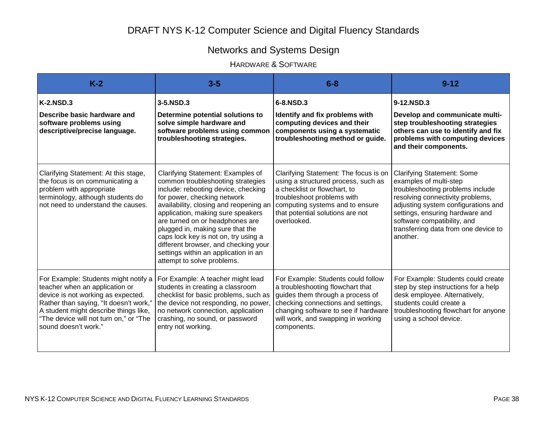# Networks and Systems Design

### HARDWARE & SOFTWARE

| $K-2$                                                                                                                                                                                                                                                             | $3-5$                                                                                                                                                                                                                                                                                                                                                                                                                                                    | $6 - 8$                                                                                                                                                                                                                                       | $9 - 12$                                                                                                                                                                                                                                                                                         |
|-------------------------------------------------------------------------------------------------------------------------------------------------------------------------------------------------------------------------------------------------------------------|----------------------------------------------------------------------------------------------------------------------------------------------------------------------------------------------------------------------------------------------------------------------------------------------------------------------------------------------------------------------------------------------------------------------------------------------------------|-----------------------------------------------------------------------------------------------------------------------------------------------------------------------------------------------------------------------------------------------|--------------------------------------------------------------------------------------------------------------------------------------------------------------------------------------------------------------------------------------------------------------------------------------------------|
| <b>K-2.NSD.3</b><br>Describe basic hardware and<br>software problems using<br>descriptive/precise language.                                                                                                                                                       | 3-5.NSD.3<br>Determine potential solutions to<br>solve simple hardware and<br>software problems using common<br>troubleshooting strategies.                                                                                                                                                                                                                                                                                                              | 6-8.NSD.3<br>Identify and fix problems with<br>computing devices and their<br>components using a systematic<br>troubleshooting method or guide.                                                                                               | 9-12.NSD.3<br>Develop and communicate multi-<br>step troubleshooting strategies<br>others can use to identify and fix<br>problems with computing devices<br>and their components.                                                                                                                |
| Clarifying Statement: At this stage,<br>the focus is on communicating a<br>problem with appropriate<br>terminology, although students do<br>not need to understand the causes.                                                                                    | Clarifying Statement: Examples of<br>common troubleshooting strategies<br>include: rebooting device, checking<br>for power, checking network<br>availability, closing and reopening an<br>application, making sure speakers<br>are turned on or headphones are<br>plugged in, making sure that the<br>caps lock key is not on, try using a<br>different browser, and checking your<br>settings within an application in an<br>attempt to solve problems. | Clarifying Statement: The focus is on<br>using a structured process, such as<br>a checklist or flowchart, to<br>troubleshoot problems with<br>computing systems and to ensure<br>that potential solutions are not<br>overlooked.              | <b>Clarifying Statement: Some</b><br>examples of multi-step<br>troubleshooting problems include<br>resolving connectivity problems,<br>adjusting system configurations and<br>settings, ensuring hardware and<br>software compatibility, and<br>transferring data from one device to<br>another. |
| For Example: Students might notify a<br>teacher when an application or<br>device is not working as expected.<br>Rather than saying, "It doesn't work,"<br>A student might describe things like,<br>"The device will not turn on," or "The<br>sound doesn't work." | For Example: A teacher might lead<br>students in creating a classroom<br>checklist for basic problems, such as<br>the device not responding, no power,<br>no network connection, application<br>crashing, no sound, or password<br>entry not working.                                                                                                                                                                                                    | For Example: Students could follow<br>a troubleshooting flowchart that<br>guides them through a process of<br>checking connections and settings,<br>changing software to see if hardware<br>will work, and swapping in working<br>components. | For Example: Students could create<br>step by step instructions for a help<br>desk employee. Alternatively,<br>students could create a<br>troubleshooting flowchart for anyone<br>using a school device.                                                                                         |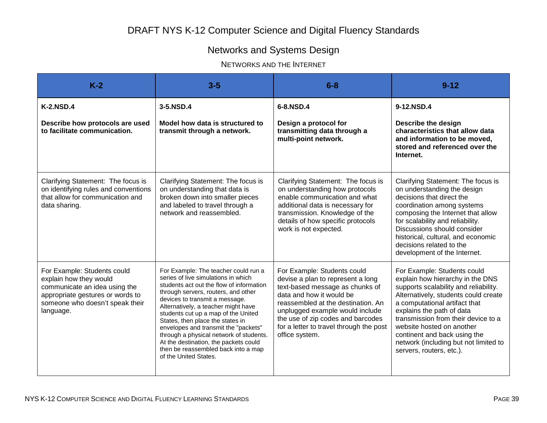# Networks and Systems Design

NETWORKS AND THE INTERNET

| $K-2$                                                                                                                                                                      | $3-5$                                                                                                                                                                                                                                                                                                                                                                                                                                                                                                          | $6 - 8$                                                                                                                                                                                                                                                                                                    | $9 - 12$                                                                                                                                                                                                                                                                                                                                                                                |
|----------------------------------------------------------------------------------------------------------------------------------------------------------------------------|----------------------------------------------------------------------------------------------------------------------------------------------------------------------------------------------------------------------------------------------------------------------------------------------------------------------------------------------------------------------------------------------------------------------------------------------------------------------------------------------------------------|------------------------------------------------------------------------------------------------------------------------------------------------------------------------------------------------------------------------------------------------------------------------------------------------------------|-----------------------------------------------------------------------------------------------------------------------------------------------------------------------------------------------------------------------------------------------------------------------------------------------------------------------------------------------------------------------------------------|
| <b>K-2.NSD.4</b><br>Describe how protocols are used<br>to facilitate communication.                                                                                        | 3-5.NSD.4<br>Model how data is structured to<br>transmit through a network.                                                                                                                                                                                                                                                                                                                                                                                                                                    | 6-8.NSD.4<br>Design a protocol for<br>transmitting data through a<br>multi-point network.                                                                                                                                                                                                                  | 9-12.NSD.4<br>Describe the design<br>characteristics that allow data<br>and information to be moved,<br>stored and referenced over the<br>Internet.                                                                                                                                                                                                                                     |
| Clarifying Statement: The focus is<br>on identifying rules and conventions<br>that allow for communication and<br>data sharing.                                            | Clarifying Statement: The focus is<br>on understanding that data is<br>broken down into smaller pieces<br>and labeled to travel through a<br>network and reassembled.                                                                                                                                                                                                                                                                                                                                          | Clarifying Statement: The focus is<br>on understanding how protocols<br>enable communication and what<br>additional data is necessary for<br>transmission. Knowledge of the<br>details of how specific protocols<br>work is not expected.                                                                  | Clarifying Statement: The focus is<br>on understanding the design<br>decisions that direct the<br>coordination among systems<br>composing the Internet that allow<br>for scalability and reliability.<br>Discussions should consider<br>historical, cultural, and economic<br>decisions related to the<br>development of the Internet.                                                  |
| For Example: Students could<br>explain how they would<br>communicate an idea using the<br>appropriate gestures or words to<br>someone who doesn't speak their<br>language. | For Example: The teacher could run a<br>series of live simulations in which<br>students act out the flow of information<br>through servers, routers, and other<br>devices to transmit a message.<br>Alternatively, a teacher might have<br>students cut up a map of the United<br>States, then place the states in<br>envelopes and transmit the "packets"<br>through a physical network of students.<br>At the destination, the packets could<br>then be reassembled back into a map<br>of the United States. | For Example: Students could<br>devise a plan to represent a long<br>text-based message as chunks of<br>data and how it would be<br>reassembled at the destination. An<br>unplugged example would include<br>the use of zip codes and barcodes<br>for a letter to travel through the post<br>office system. | For Example: Students could<br>explain how hierarchy in the DNS<br>supports scalability and reliability.<br>Alternatively, students could create<br>a computational artifact that<br>explains the path of data<br>transmission from their device to a<br>website hosted on another<br>continent and back using the<br>network (including but not limited to<br>servers, routers, etc.). |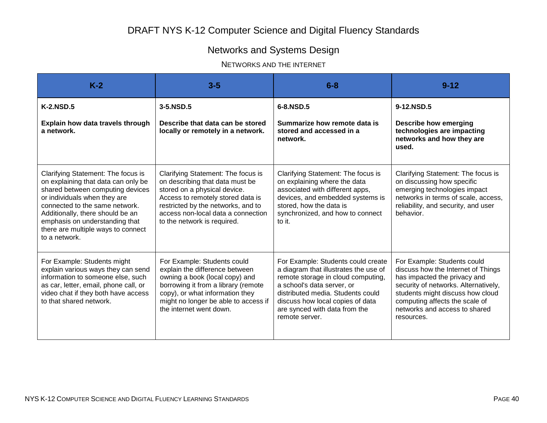# Networks and Systems Design

#### NETWORKS AND THE INTERNET

| $K-2$                                                                                                                                                                                                                                                                                                        | $3 - 5$                                                                                                                                                                                                                                               | $6 - 8$                                                                                                                                                                                                                                                                     | $9 - 12$                                                                                                                                                                                                                                                       |
|--------------------------------------------------------------------------------------------------------------------------------------------------------------------------------------------------------------------------------------------------------------------------------------------------------------|-------------------------------------------------------------------------------------------------------------------------------------------------------------------------------------------------------------------------------------------------------|-----------------------------------------------------------------------------------------------------------------------------------------------------------------------------------------------------------------------------------------------------------------------------|----------------------------------------------------------------------------------------------------------------------------------------------------------------------------------------------------------------------------------------------------------------|
| <b>K-2.NSD.5</b>                                                                                                                                                                                                                                                                                             | 3-5.NSD.5                                                                                                                                                                                                                                             | 6-8.NSD.5                                                                                                                                                                                                                                                                   | 9-12.NSD.5                                                                                                                                                                                                                                                     |
| Explain how data travels through<br>a network.                                                                                                                                                                                                                                                               | Describe that data can be stored<br>locally or remotely in a network.                                                                                                                                                                                 | Summarize how remote data is<br>stored and accessed in a<br>network.                                                                                                                                                                                                        | <b>Describe how emerging</b><br>technologies are impacting<br>networks and how they are<br>used.                                                                                                                                                               |
| Clarifying Statement: The focus is<br>on explaining that data can only be<br>shared between computing devices<br>or individuals when they are<br>connected to the same network.<br>Additionally, there should be an<br>emphasis on understanding that<br>there are multiple ways to connect<br>to a network. | Clarifying Statement: The focus is<br>on describing that data must be<br>stored on a physical device.<br>Access to remotely stored data is<br>restricted by the networks, and to<br>access non-local data a connection<br>to the network is required. | Clarifying Statement: The focus is<br>on explaining where the data<br>associated with different apps,<br>devices, and embedded systems is<br>stored, how the data is<br>synchronized, and how to connect<br>to it.                                                          | Clarifying Statement: The focus is<br>on discussing how specific<br>emerging technologies impact<br>networks in terms of scale, access,<br>reliability, and security, and user<br>behavior.                                                                    |
| For Example: Students might<br>explain various ways they can send<br>information to someone else, such<br>as car, letter, email, phone call, or<br>video chat if they both have access<br>to that shared network.                                                                                            | For Example: Students could<br>explain the difference between<br>owning a book (local copy) and<br>borrowing it from a library (remote<br>copy), or what information they<br>might no longer be able to access if<br>the internet went down.          | For Example: Students could create<br>a diagram that illustrates the use of<br>remote storage in cloud computing,<br>a school's data server, or<br>distributed media. Students could<br>discuss how local copies of data<br>are synced with data from the<br>remote server. | For Example: Students could<br>discuss how the Internet of Things<br>has impacted the privacy and<br>security of networks. Alternatively,<br>students might discuss how cloud<br>computing affects the scale of<br>networks and access to shared<br>resources. |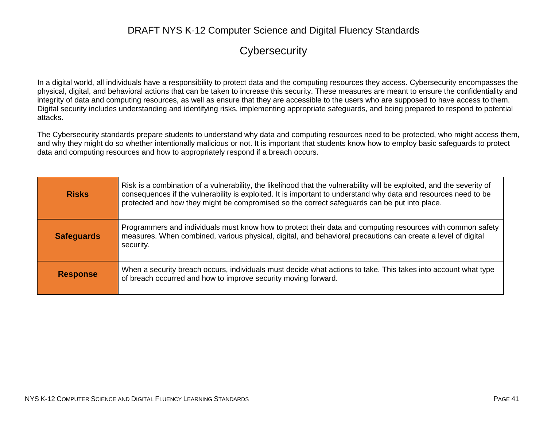### **Cybersecurity**

In a digital world, all individuals have a responsibility to protect data and the computing resources they access. Cybersecurity encompasses the physical, digital, and behavioral actions that can be taken to increase this security. These measures are meant to ensure the confidentiality and integrity of data and computing resources, as well as ensure that they are accessible to the users who are supposed to have access to them. Digital security includes understanding and identifying risks, implementing appropriate safeguards, and being prepared to respond to potential attacks.

The Cybersecurity standards prepare students to understand why data and computing resources need to be protected, who might access them, and why they might do so whether intentionally malicious or not. It is important that students know how to employ basic safeguards to protect data and computing resources and how to appropriately respond if a breach occurs.

| <b>Risks</b>      | Risk is a combination of a vulnerability, the likelihood that the vulnerability will be exploited, and the severity of<br>consequences if the vulnerability is exploited. It is important to understand why data and resources need to be<br>protected and how they might be compromised so the correct safeguards can be put into place. |
|-------------------|-------------------------------------------------------------------------------------------------------------------------------------------------------------------------------------------------------------------------------------------------------------------------------------------------------------------------------------------|
| <b>Safeguards</b> | Programmers and individuals must know how to protect their data and computing resources with common safety<br>measures. When combined, various physical, digital, and behavioral precautions can create a level of digital<br>security.                                                                                                   |
| <b>Response</b>   | When a security breach occurs, individuals must decide what actions to take. This takes into account what type<br>of breach occurred and how to improve security moving forward.                                                                                                                                                          |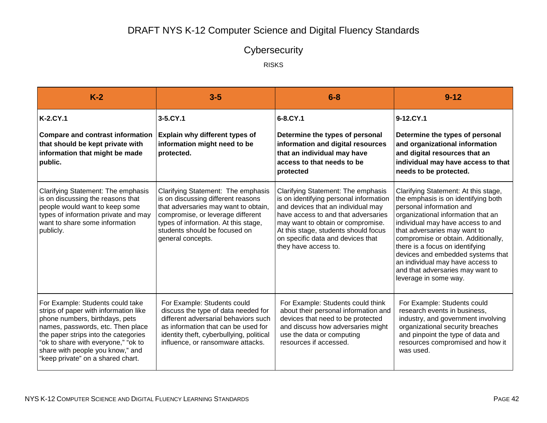# **Cybersecurity**

RISKS

| $K-2$                                                                                                                                                                                                                                                                                                    | $3-5$                                                                                                                                                                                                                                               | $6 - 8$                                                                                                                                                                                                                                                                                             | $9 - 12$                                                                                                                                                                                                                                                                                                                                                                                                                           |
|----------------------------------------------------------------------------------------------------------------------------------------------------------------------------------------------------------------------------------------------------------------------------------------------------------|-----------------------------------------------------------------------------------------------------------------------------------------------------------------------------------------------------------------------------------------------------|-----------------------------------------------------------------------------------------------------------------------------------------------------------------------------------------------------------------------------------------------------------------------------------------------------|------------------------------------------------------------------------------------------------------------------------------------------------------------------------------------------------------------------------------------------------------------------------------------------------------------------------------------------------------------------------------------------------------------------------------------|
| <b>K-2.CY.1</b><br>Compare and contrast information   Explain why different types of<br>that should be kept private with<br>information that might be made<br>public.                                                                                                                                    | 3-5.CY.1<br>information might need to be<br>protected.                                                                                                                                                                                              | 6-8.CY.1<br>Determine the types of personal<br>information and digital resources<br>that an individual may have<br>access to that needs to be<br>protected                                                                                                                                          | 9-12.CY.1<br>Determine the types of personal<br>and organizational information<br>and digital resources that an<br>individual may have access to that<br>needs to be protected.                                                                                                                                                                                                                                                    |
| Clarifying Statement: The emphasis<br>is on discussing the reasons that<br>people would want to keep some<br>types of information private and may<br>want to share some information<br>publicly.                                                                                                         | Clarifying Statement: The emphasis<br>is on discussing different reasons<br>that adversaries may want to obtain,<br>compromise, or leverage different<br>types of information. At this stage,<br>students should be focused on<br>general concepts. | Clarifying Statement: The emphasis<br>is on identifying personal information<br>and devices that an individual may<br>have access to and that adversaries<br>may want to obtain or compromise.<br>At this stage, students should focus<br>on specific data and devices that<br>they have access to. | Clarifying Statement: At this stage,<br>the emphasis is on identifying both<br>personal information and<br>organizational information that an<br>individual may have access to and<br>that adversaries may want to<br>compromise or obtain. Additionally,<br>there is a focus on identifying<br>devices and embedded systems that<br>an individual may have access to<br>and that adversaries may want to<br>leverage in some way. |
| For Example: Students could take<br>strips of paper with information like<br>phone numbers, birthdays, pets<br>names, passwords, etc. Then place<br>the paper strips into the categories<br>"ok to share with everyone," "ok to<br>share with people you know," and<br>"keep private" on a shared chart. | For Example: Students could<br>discuss the type of data needed for<br>different adversarial behaviors such<br>as information that can be used for<br>identity theft, cyberbullying, political<br>influence, or ransomware attacks.                  | For Example: Students could think<br>about their personal information and<br>devices that need to be protected<br>and discuss how adversaries might<br>use the data or computing<br>resources if accessed.                                                                                          | For Example: Students could<br>research events in business,<br>industry, and government involving<br>organizational security breaches<br>and pinpoint the type of data and<br>resources compromised and how it<br>was used.                                                                                                                                                                                                        |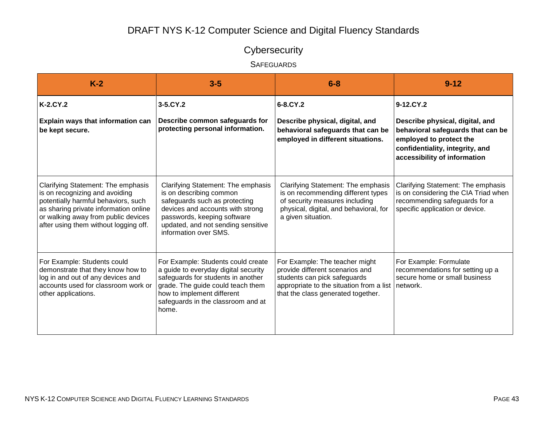# **Cybersecurity**

#### **SAFEGUARDS**

| $K-2$                                                                                                                                                                                                                                | $3-5$                                                                                                                                                                                                                              | $6 - 8$                                                                                                                                                                                      | $9 - 12$                                                                                                                                                           |
|--------------------------------------------------------------------------------------------------------------------------------------------------------------------------------------------------------------------------------------|------------------------------------------------------------------------------------------------------------------------------------------------------------------------------------------------------------------------------------|----------------------------------------------------------------------------------------------------------------------------------------------------------------------------------------------|--------------------------------------------------------------------------------------------------------------------------------------------------------------------|
| K-2.CY.2                                                                                                                                                                                                                             | 3-5.CY.2                                                                                                                                                                                                                           | 6-8.CY.2                                                                                                                                                                                     | 9-12.CY.2                                                                                                                                                          |
| Explain ways that information can<br>be kept secure.                                                                                                                                                                                 | Describe common safeguards for<br>protecting personal information.                                                                                                                                                                 | Describe physical, digital, and<br>behavioral safeguards that can be<br>employed in different situations.                                                                                    | Describe physical, digital, and<br>behavioral safeguards that can be<br>employed to protect the<br>confidentiality, integrity, and<br>accessibility of information |
| Clarifying Statement: The emphasis<br>is on recognizing and avoiding<br>potentially harmful behaviors, such<br>as sharing private information online<br>or walking away from public devices<br>after using them without logging off. | Clarifying Statement: The emphasis<br>is on describing common<br>safeguards such as protecting<br>devices and accounts with strong<br>passwords, keeping software<br>updated, and not sending sensitive<br>information over SMS.   | Clarifying Statement: The emphasis<br>is on recommending different types<br>of security measures including<br>physical, digital, and behavioral, for<br>a given situation.                   | Clarifying Statement: The emphasis<br>is on considering the CIA Triad when<br>recommending safeguards for a<br>specific application or device.                     |
| For Example: Students could<br>demonstrate that they know how to<br>log in and out of any devices and<br>accounts used for classroom work or<br>other applications.                                                                  | For Example: Students could create<br>a guide to everyday digital security<br>safeguards for students in another<br>grade. The guide could teach them<br>how to implement different<br>safeguards in the classroom and at<br>home. | For Example: The teacher might<br>provide different scenarios and<br>students can pick safeguards<br>appropriate to the situation from a list network.<br>that the class generated together. | For Example: Formulate<br>recommendations for setting up a<br>secure home or small business                                                                        |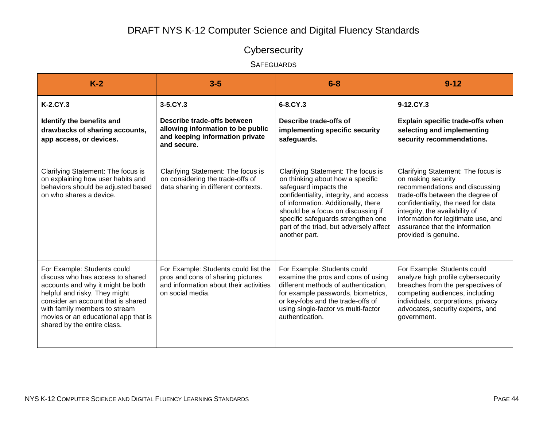# **Cybersecurity**

#### **SAFEGUARDS**

| $K-2$                                                                                                                                                                                                                                                                               | $3-5$                                                                                                                                    | $6 - 8$                                                                                                                                                                                                                                                                                                                  | $9 - 12$                                                                                                                                                                                                                                                                                                |
|-------------------------------------------------------------------------------------------------------------------------------------------------------------------------------------------------------------------------------------------------------------------------------------|------------------------------------------------------------------------------------------------------------------------------------------|--------------------------------------------------------------------------------------------------------------------------------------------------------------------------------------------------------------------------------------------------------------------------------------------------------------------------|---------------------------------------------------------------------------------------------------------------------------------------------------------------------------------------------------------------------------------------------------------------------------------------------------------|
| $K-2.CY.3$<br>Identify the benefits and<br>drawbacks of sharing accounts,<br>app access, or devices.                                                                                                                                                                                | $3-5$ , $CY$ , $3$<br>Describe trade-offs between<br>allowing information to be public<br>and keeping information private<br>and secure. | 6-8.CY.3<br>Describe trade-offs of<br>implementing specific security<br>safeguards.                                                                                                                                                                                                                                      | 9-12.CY.3<br><b>Explain specific trade-offs when</b><br>selecting and implementing<br>security recommendations.                                                                                                                                                                                         |
| Clarifying Statement: The focus is<br>on explaining how user habits and<br>behaviors should be adjusted based<br>on who shares a device.                                                                                                                                            | Clarifying Statement: The focus is<br>on considering the trade-offs of<br>data sharing in different contexts.                            | Clarifying Statement: The focus is<br>on thinking about how a specific<br>safeguard impacts the<br>confidentiality, integrity, and access<br>of information. Additionally, there<br>should be a focus on discussing if<br>specific safeguards strengthen one<br>part of the triad, but adversely affect<br>another part. | Clarifying Statement: The focus is<br>on making security<br>recommendations and discussing<br>trade-offs between the degree of<br>confidentiality, the need for data<br>integrity, the availability of<br>information for legitimate use, and<br>assurance that the information<br>provided is genuine. |
| For Example: Students could<br>discuss who has access to shared<br>accounts and why it might be both<br>helpful and risky. They might<br>consider an account that is shared<br>with family members to stream<br>movies or an educational app that is<br>shared by the entire class. | For Example: Students could list the<br>pros and cons of sharing pictures<br>and information about their activities<br>on social media.  | For Example: Students could<br>examine the pros and cons of using<br>different methods of authentication,<br>for example passwords, biometrics,<br>or key-fobs and the trade-offs of<br>using single-factor vs multi-factor<br>authentication.                                                                           | For Example: Students could<br>analyze high profile cybersecurity<br>breaches from the perspectives of<br>competing audiences, including<br>individuals, corporations, privacy<br>advocates, security experts, and<br>government.                                                                       |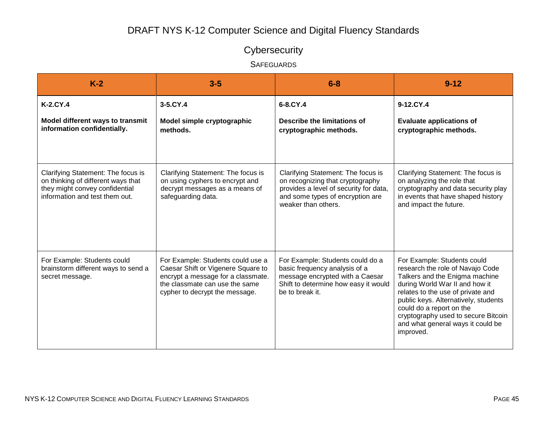# **Cybersecurity**

**SAFEGUARDS** 

| $K-2$                                                                                                                                        | $3-5$                                                                                                                                                                             | $6 - 8$                                                                                                                                                                     | $9 - 12$                                                                                                                                                                                                                                                                                                                              |
|----------------------------------------------------------------------------------------------------------------------------------------------|-----------------------------------------------------------------------------------------------------------------------------------------------------------------------------------|-----------------------------------------------------------------------------------------------------------------------------------------------------------------------------|---------------------------------------------------------------------------------------------------------------------------------------------------------------------------------------------------------------------------------------------------------------------------------------------------------------------------------------|
| K-2.CY.4                                                                                                                                     | 3-5.CY.4                                                                                                                                                                          | 6-8.CY.4                                                                                                                                                                    | 9-12.CY.4                                                                                                                                                                                                                                                                                                                             |
| Model different ways to transmit<br>information confidentially.                                                                              | Model simple cryptographic<br>methods.                                                                                                                                            | Describe the limitations of<br>cryptographic methods.                                                                                                                       | <b>Evaluate applications of</b><br>cryptographic methods.                                                                                                                                                                                                                                                                             |
| Clarifying Statement: The focus is<br>on thinking of different ways that<br>they might convey confidential<br>information and test them out. | Clarifying Statement: The focus is<br>on using cyphers to encrypt and<br>decrypt messages as a means of<br>safeguarding data.                                                     | Clarifying Statement: The focus is<br>on recognizing that cryptography<br>provides a level of security for data,<br>and some types of encryption are<br>weaker than others. | Clarifying Statement: The focus is<br>on analyzing the role that<br>cryptography and data security play<br>in events that have shaped history<br>and impact the future.                                                                                                                                                               |
| For Example: Students could<br>brainstorm different ways to send a<br>secret message.                                                        | For Example: Students could use a<br>Caesar Shift or Vigenere Square to<br>encrypt a message for a classmate.<br>the classmate can use the same<br>cypher to decrypt the message. | For Example: Students could do a<br>basic frequency analysis of a<br>message encrypted with a Caesar<br>Shift to determine how easy it would<br>be to break it.             | For Example: Students could<br>research the role of Navajo Code<br>Talkers and the Enigma machine<br>during World War II and how it<br>relates to the use of private and<br>public keys. Alternatively, students<br>could do a report on the<br>cryptography used to secure Bitcoin<br>and what general ways it could be<br>improved. |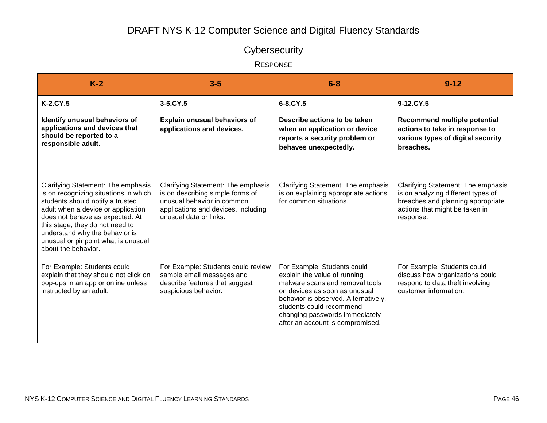# **Cybersecurity**

RESPONSE

| $K-2$                                                                                                                                                                                                                                                                                                                       | $3-5$                                                                                                                                                                 | $6 - 8$                                                                                                                                                                                                                                                                   | $9 - 12$                                                                                                                                                     |
|-----------------------------------------------------------------------------------------------------------------------------------------------------------------------------------------------------------------------------------------------------------------------------------------------------------------------------|-----------------------------------------------------------------------------------------------------------------------------------------------------------------------|---------------------------------------------------------------------------------------------------------------------------------------------------------------------------------------------------------------------------------------------------------------------------|--------------------------------------------------------------------------------------------------------------------------------------------------------------|
| K-2.CY.5                                                                                                                                                                                                                                                                                                                    | $3-5$ .CY.5                                                                                                                                                           | 6-8.CY.5                                                                                                                                                                                                                                                                  | $9-12$ .CY.5                                                                                                                                                 |
| Identify unusual behaviors of<br>applications and devices that<br>should be reported to a<br>responsible adult.                                                                                                                                                                                                             | <b>Explain unusual behaviors of</b><br>applications and devices.                                                                                                      | Describe actions to be taken<br>when an application or device<br>reports a security problem or<br>behaves unexpectedly.                                                                                                                                                   | Recommend multiple potential<br>actions to take in response to<br>various types of digital security<br>breaches.                                             |
| Clarifying Statement: The emphasis<br>is on recognizing situations in which<br>students should notify a trusted<br>adult when a device or application<br>does not behave as expected. At<br>this stage, they do not need to<br>understand why the behavior is<br>unusual or pinpoint what is unusual<br>about the behavior. | Clarifying Statement: The emphasis<br>is on describing simple forms of<br>unusual behavior in common<br>applications and devices, including<br>unusual data or links. | Clarifying Statement: The emphasis<br>is on explaining appropriate actions<br>for common situations.                                                                                                                                                                      | Clarifying Statement: The emphasis<br>is on analyzing different types of<br>breaches and planning appropriate<br>actions that might be taken in<br>response. |
| For Example: Students could<br>explain that they should not click on<br>pop-ups in an app or online unless<br>instructed by an adult.                                                                                                                                                                                       | For Example: Students could review<br>sample email messages and<br>describe features that suggest<br>suspicious behavior.                                             | For Example: Students could<br>explain the value of running<br>malware scans and removal tools<br>on devices as soon as unusual<br>behavior is observed. Alternatively,<br>students could recommend<br>changing passwords immediately<br>after an account is compromised. | For Example: Students could<br>discuss how organizations could<br>respond to data theft involving<br>customer information.                                   |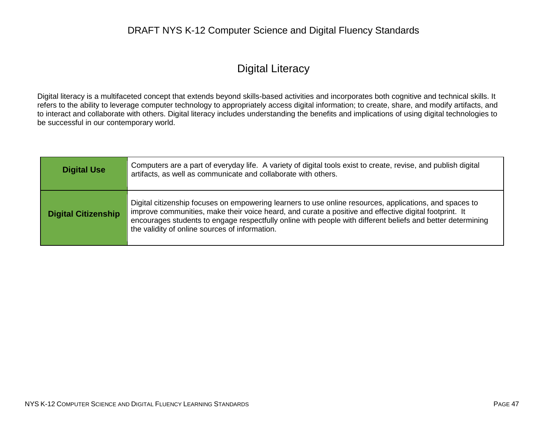### Digital Literacy

Digital literacy is a multifaceted concept that extends beyond skills-based activities and incorporates both cognitive and technical skills. It refers to the ability to leverage computer technology to appropriately access digital information; to create, share, and modify artifacts, and to interact and collaborate with others. Digital literacy includes understanding the benefits and implications of using digital technologies to be successful in our contemporary world.

| <b>Digital Use</b>         | Computers are a part of everyday life. A variety of digital tools exist to create, revise, and publish digital<br>artifacts, as well as communicate and collaborate with others.                                                                                                                                                                                                   |
|----------------------------|------------------------------------------------------------------------------------------------------------------------------------------------------------------------------------------------------------------------------------------------------------------------------------------------------------------------------------------------------------------------------------|
| <b>Digital Citizenship</b> | Digital citizenship focuses on empowering learners to use online resources, applications, and spaces to<br>improve communities, make their voice heard, and curate a positive and effective digital footprint. It<br>encourages students to engage respectfully online with people with different beliefs and better determining<br>the validity of online sources of information. |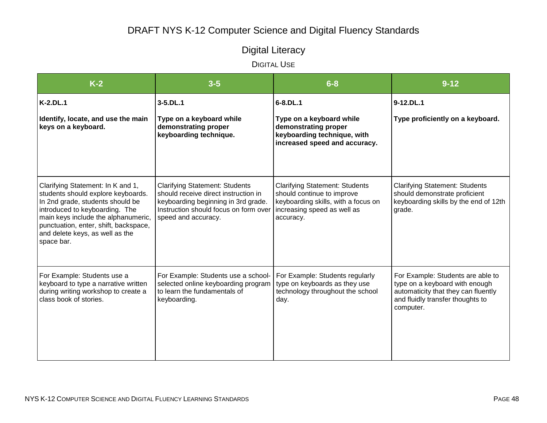# Digital Literacy

| $K-2$                                                                                                                                                                                                                                                                          | $3 - 5$                                                                                                                                                                              | $6 - 8$                                                                                                                                                | $9 - 12$                                                                                                                                                    |
|--------------------------------------------------------------------------------------------------------------------------------------------------------------------------------------------------------------------------------------------------------------------------------|--------------------------------------------------------------------------------------------------------------------------------------------------------------------------------------|--------------------------------------------------------------------------------------------------------------------------------------------------------|-------------------------------------------------------------------------------------------------------------------------------------------------------------|
| $K-2.DL.1$                                                                                                                                                                                                                                                                     | $3 - 5$ . DL $.1$                                                                                                                                                                    | $6 - 8$ . DL. 1                                                                                                                                        | 9-12.DL.1                                                                                                                                                   |
| Identify, locate, and use the main<br>keys on a keyboard.                                                                                                                                                                                                                      | Type on a keyboard while<br>demonstrating proper<br>keyboarding technique.                                                                                                           | Type on a keyboard while<br>demonstrating proper<br>keyboarding technique, with<br>increased speed and accuracy.                                       | Type proficiently on a keyboard.                                                                                                                            |
| Clarifying Statement: In K and 1,<br>students should explore keyboards.<br>In 2nd grade, students should be<br>introduced to keyboarding. The<br>main keys include the alphanumeric,<br>punctuation, enter, shift, backspace,<br>and delete keys, as well as the<br>space bar. | <b>Clarifying Statement: Students</b><br>should receive direct instruction in<br>keyboarding beginning in 3rd grade.<br>Instruction should focus on form over<br>speed and accuracy. | <b>Clarifying Statement: Students</b><br>should continue to improve<br>keyboarding skills, with a focus on<br>increasing speed as well as<br>accuracy. | <b>Clarifying Statement: Students</b><br>should demonstrate proficient<br>keyboarding skills by the end of 12th<br>grade.                                   |
| For Example: Students use a<br>keyboard to type a narrative written<br>during writing workshop to create a<br>class book of stories.                                                                                                                                           | For Example: Students use a school-<br>selected online keyboarding program<br>to learn the fundamentals of<br>keyboarding.                                                           | For Example: Students regularly<br>type on keyboards as they use<br>technology throughout the school<br>day.                                           | For Example: Students are able to<br>type on a keyboard with enough<br>automaticity that they can fluently<br>and fluidly transfer thoughts to<br>computer. |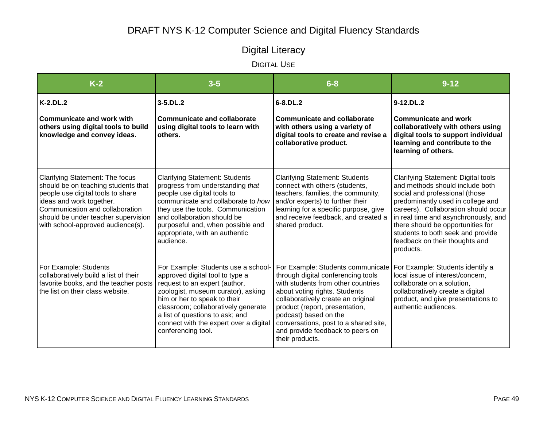# Digital Literacy

| $K-2$                                                                                                                                                                                                                                                  | $3 - 5$                                                                                                                                                                                                                                                                                                                 | $6 - 8$                                                                                                                                                                                                                                                                                                                                         | $9 - 12$                                                                                                                                                                                                                                                                                                                                               |
|--------------------------------------------------------------------------------------------------------------------------------------------------------------------------------------------------------------------------------------------------------|-------------------------------------------------------------------------------------------------------------------------------------------------------------------------------------------------------------------------------------------------------------------------------------------------------------------------|-------------------------------------------------------------------------------------------------------------------------------------------------------------------------------------------------------------------------------------------------------------------------------------------------------------------------------------------------|--------------------------------------------------------------------------------------------------------------------------------------------------------------------------------------------------------------------------------------------------------------------------------------------------------------------------------------------------------|
| <b>K-2.DL.2</b>                                                                                                                                                                                                                                        | $3 - 5$ . DL $.2$                                                                                                                                                                                                                                                                                                       | 6-8.DL.2                                                                                                                                                                                                                                                                                                                                        | 9-12.DL.2                                                                                                                                                                                                                                                                                                                                              |
| <b>Communicate and work with</b><br>others using digital tools to build<br>knowledge and convey ideas.                                                                                                                                                 | <b>Communicate and collaborate</b><br>using digital tools to learn with<br>others.                                                                                                                                                                                                                                      | <b>Communicate and collaborate</b><br>with others using a variety of<br>digital tools to create and revise a<br>collaborative product.                                                                                                                                                                                                          | <b>Communicate and work</b><br>collaboratively with others using<br>digital tools to support individual<br>learning and contribute to the<br>learning of others.                                                                                                                                                                                       |
| Clarifying Statement: The focus<br>should be on teaching students that<br>people use digital tools to share<br>ideas and work together.<br>Communication and collaboration<br>should be under teacher supervision<br>with school-approved audience(s). | <b>Clarifying Statement: Students</b><br>progress from understanding that<br>people use digital tools to<br>communicate and collaborate to how<br>they use the tools. Communication<br>and collaboration should be<br>purposeful and, when possible and<br>appropriate, with an authentic<br>audience.                  | <b>Clarifying Statement: Students</b><br>connect with others (students,<br>teachers, families, the community,<br>and/or experts) to further their<br>learning for a specific purpose, give<br>and receive feedback, and created a<br>shared product.                                                                                            | Clarifying Statement: Digital tools<br>and methods should include both<br>social and professional (those<br>predominantly used in college and<br>careers). Collaboration should occur<br>in real time and asynchronously, and<br>there should be opportunities for<br>students to both seek and provide<br>feedback on their thoughts and<br>products. |
| For Example: Students<br>collaboratively build a list of their<br>favorite books, and the teacher posts<br>the list on their class website.                                                                                                            | For Example: Students use a school-<br>approved digital tool to type a<br>request to an expert (author,<br>zoologist, museum curator), asking<br>him or her to speak to their<br>classroom; collaboratively generate<br>a list of questions to ask; and<br>connect with the expert over a digital<br>conferencing tool. | For Example: Students communicate<br>through digital conferencing tools<br>with students from other countries<br>about voting rights. Students<br>collaboratively create an original<br>product (report, presentation,<br>podcast) based on the<br>conversations, post to a shared site,<br>and provide feedback to peers on<br>their products. | For Example: Students identify a<br>local issue of interest/concern,<br>collaborate on a solution,<br>collaboratively create a digital<br>product, and give presentations to<br>authentic audiences.                                                                                                                                                   |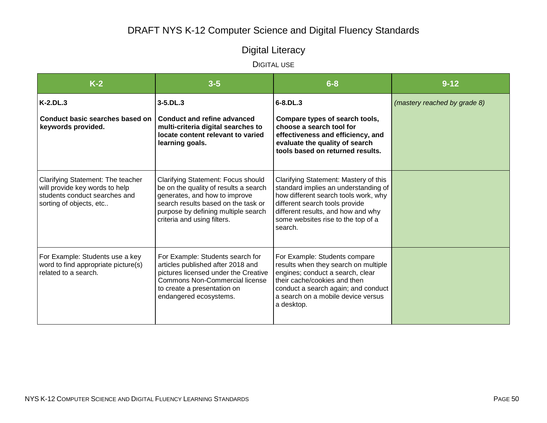# Digital Literacy

| $K-2$                                                                                                                           | $3-5$                                                                                                                                                                                                                     | $6 - 8$                                                                                                                                                                                                                                        | $9 - 12$                     |
|---------------------------------------------------------------------------------------------------------------------------------|---------------------------------------------------------------------------------------------------------------------------------------------------------------------------------------------------------------------------|------------------------------------------------------------------------------------------------------------------------------------------------------------------------------------------------------------------------------------------------|------------------------------|
| $K-2.DL.3$<br>Conduct basic searches based on<br>keywords provided.                                                             | $3 - 5$ .DL.3<br><b>Conduct and refine advanced</b><br>multi-criteria digital searches to<br>locate content relevant to varied<br>learning goals.                                                                         | $6 - 8$ . DL. 3<br>Compare types of search tools,<br>choose a search tool for<br>effectiveness and efficiency, and<br>evaluate the quality of search<br>tools based on returned results.                                                       | (mastery reached by grade 8) |
| Clarifying Statement: The teacher<br>will provide key words to help<br>students conduct searches and<br>sorting of objects, etc | Clarifying Statement: Focus should<br>be on the quality of results a search<br>generates, and how to improve<br>search results based on the task or<br>purpose by defining multiple search<br>criteria and using filters. | Clarifying Statement: Mastery of this<br>standard implies an understanding of<br>how different search tools work, why<br>different search tools provide<br>different results, and how and why<br>some websites rise to the top of a<br>search. |                              |
| For Example: Students use a key<br>word to find appropriate picture(s)<br>related to a search.                                  | For Example: Students search for<br>articles published after 2018 and<br>pictures licensed under the Creative<br>Commons Non-Commercial license<br>to create a presentation on<br>endangered ecosystems.                  | For Example: Students compare<br>results when they search on multiple<br>engines; conduct a search, clear<br>their cache/cookies and then<br>conduct a search again; and conduct<br>a search on a mobile device versus<br>a desktop.           |                              |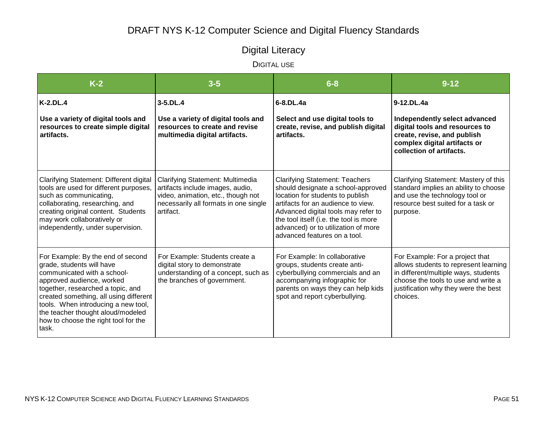# Digital Literacy

| $K-2$                                                                                                                                                                                                                                                                                                                                  | $3 - 5$                                                                                                                                                          | $6 - 8$                                                                                                                                                                                                                                                                                                       | $9 - 12$                                                                                                                                                                                                    |
|----------------------------------------------------------------------------------------------------------------------------------------------------------------------------------------------------------------------------------------------------------------------------------------------------------------------------------------|------------------------------------------------------------------------------------------------------------------------------------------------------------------|---------------------------------------------------------------------------------------------------------------------------------------------------------------------------------------------------------------------------------------------------------------------------------------------------------------|-------------------------------------------------------------------------------------------------------------------------------------------------------------------------------------------------------------|
| $K-2.DL.4$<br>Use a variety of digital tools and<br>resources to create simple digital<br>artifacts.                                                                                                                                                                                                                                   | $3 - 5$ . DL $.4$<br>Use a variety of digital tools and<br>resources to create and revise<br>multimedia digital artifacts.                                       | 6-8.DL.4a<br>Select and use digital tools to<br>create, revise, and publish digital<br>artifacts.                                                                                                                                                                                                             | 9-12.DL.4a<br>Independently select advanced<br>digital tools and resources to<br>create, revise, and publish                                                                                                |
|                                                                                                                                                                                                                                                                                                                                        |                                                                                                                                                                  |                                                                                                                                                                                                                                                                                                               | complex digital artifacts or<br>collection of artifacts.                                                                                                                                                    |
| Clarifying Statement: Different digital<br>tools are used for different purposes,<br>such as communicating,<br>collaborating, researching, and<br>creating original content. Students<br>may work collaboratively or<br>independently, under supervision.                                                                              | Clarifying Statement: Multimedia<br>artifacts include images, audio,<br>video, animation, etc., though not<br>necessarily all formats in one single<br>artifact. | <b>Clarifying Statement: Teachers</b><br>should designate a school-approved<br>location for students to publish<br>artifacts for an audience to view.<br>Advanced digital tools may refer to<br>the tool itself (i.e. the tool is more<br>advanced) or to utilization of more<br>advanced features on a tool. | Clarifying Statement: Mastery of this<br>standard implies an ability to choose<br>and use the technology tool or<br>resource best suited for a task or<br>purpose.                                          |
| For Example: By the end of second<br>grade, students will have<br>communicated with a school-<br>approved audience, worked<br>together, researched a topic, and<br>created something, all using different<br>tools. When introducing a new tool,<br>the teacher thought aloud/modeled<br>how to choose the right tool for the<br>task. | For Example: Students create a<br>digital story to demonstrate<br>understanding of a concept, such as<br>the branches of government.                             | For Example: In collaborative<br>groups, students create anti-<br>cyberbullying commercials and an<br>accompanying infographic for<br>parents on ways they can help kids<br>spot and report cyberbullying.                                                                                                    | For Example: For a project that<br>allows students to represent learning<br>in different/multiple ways, students<br>choose the tools to use and write a<br>justification why they were the best<br>choices. |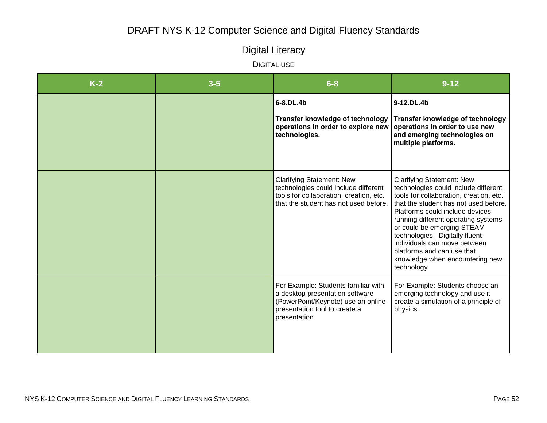# Digital Literacy

| $K-2$ | $3 - 5$ | $6 - 8$                                                                                                                                                        | $9 - 12$                                                                                                                                                                                                                                                                                                                                                                                                               |
|-------|---------|----------------------------------------------------------------------------------------------------------------------------------------------------------------|------------------------------------------------------------------------------------------------------------------------------------------------------------------------------------------------------------------------------------------------------------------------------------------------------------------------------------------------------------------------------------------------------------------------|
|       |         | 6-8.DL.4b<br>Transfer knowledge of technology<br>operations in order to explore new<br>technologies.                                                           | 9-12.DL.4b<br>Transfer knowledge of technology<br>operations in order to use new<br>and emerging technologies on<br>multiple platforms.                                                                                                                                                                                                                                                                                |
|       |         | <b>Clarifying Statement: New</b><br>technologies could include different<br>tools for collaboration, creation, etc.<br>that the student has not used before.   | <b>Clarifying Statement: New</b><br>technologies could include different<br>tools for collaboration, creation, etc.<br>that the student has not used before.<br>Platforms could include devices<br>running different operating systems<br>or could be emerging STEAM<br>technologies. Digitally fluent<br>individuals can move between<br>platforms and can use that<br>knowledge when encountering new<br>technology. |
|       |         | For Example: Students familiar with<br>a desktop presentation software<br>(PowerPoint/Keynote) use an online<br>presentation tool to create a<br>presentation. | For Example: Students choose an<br>emerging technology and use it<br>create a simulation of a principle of<br>physics.                                                                                                                                                                                                                                                                                                 |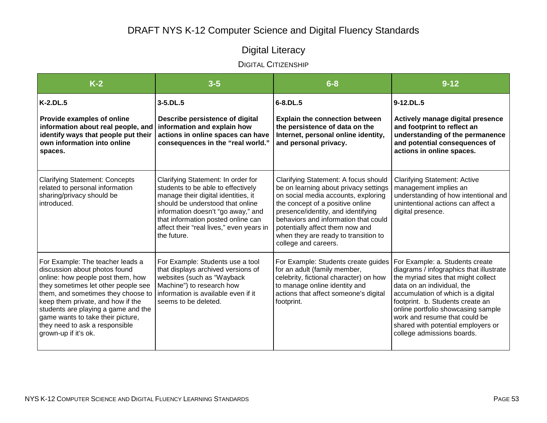# Digital Literacy

### DIGITAL CITIZENSHIP

| $K-2$                                                                                                                                                                                                                                                                                                                                                          | $3 - 5$                                                                                                                                                                                                                                                                                    | $6 - 8$                                                                                                                                                                                                                                                                                                                                   | $9 - 12$                                                                                                                                                                                                                                                                                                                                                             |
|----------------------------------------------------------------------------------------------------------------------------------------------------------------------------------------------------------------------------------------------------------------------------------------------------------------------------------------------------------------|--------------------------------------------------------------------------------------------------------------------------------------------------------------------------------------------------------------------------------------------------------------------------------------------|-------------------------------------------------------------------------------------------------------------------------------------------------------------------------------------------------------------------------------------------------------------------------------------------------------------------------------------------|----------------------------------------------------------------------------------------------------------------------------------------------------------------------------------------------------------------------------------------------------------------------------------------------------------------------------------------------------------------------|
| $K-2.DL.5$                                                                                                                                                                                                                                                                                                                                                     | $3 - 5$ . DL $.5$                                                                                                                                                                                                                                                                          | $6 - 8$ . DL $.5$                                                                                                                                                                                                                                                                                                                         | 9-12.DL.5                                                                                                                                                                                                                                                                                                                                                            |
| Provide examples of online<br>information about real people, and<br>identify ways that people put their<br>own information into online<br>spaces.                                                                                                                                                                                                              | Describe persistence of digital<br>information and explain how<br>actions in online spaces can have<br>consequences in the "real world."                                                                                                                                                   | <b>Explain the connection between</b><br>the persistence of data on the<br>Internet, personal online identity,<br>and personal privacy.                                                                                                                                                                                                   | Actively manage digital presence<br>and footprint to reflect an<br>understanding of the permanence<br>and potential consequences of<br>actions in online spaces.                                                                                                                                                                                                     |
| <b>Clarifying Statement: Concepts</b><br>related to personal information<br>sharing/privacy should be<br>introduced.                                                                                                                                                                                                                                           | Clarifying Statement: In order for<br>students to be able to effectively<br>manage their digital identities, it<br>should be understood that online<br>information doesn't "go away," and<br>that information posted online can<br>affect their "real lives," even years in<br>the future. | Clarifying Statement: A focus should<br>be on learning about privacy settings<br>on social media accounts, exploring<br>the concept of a positive online<br>presence/identity, and identifying<br>behaviors and information that could<br>potentially affect them now and<br>when they are ready to transition to<br>college and careers. | <b>Clarifying Statement: Active</b><br>management implies an<br>understanding of how intentional and<br>unintentional actions can affect a<br>digital presence.                                                                                                                                                                                                      |
| For Example: The teacher leads a<br>discussion about photos found<br>online: how people post them, how<br>they sometimes let other people see<br>them, and sometimes they choose to<br>keep them private, and how if the<br>students are playing a game and the<br>game wants to take their picture,<br>they need to ask a responsible<br>grown-up if it's ok. | For Example: Students use a tool<br>that displays archived versions of<br>websites (such as "Wayback<br>Machine") to research how<br>information is available even if it<br>seems to be deleted.                                                                                           | For Example: Students create guides<br>for an adult (family member,<br>celebrity, fictional character) on how<br>to manage online identity and<br>actions that affect someone's digital<br>footprint.                                                                                                                                     | For Example: a. Students create<br>diagrams / infographics that illustrate<br>the myriad sites that might collect<br>data on an individual, the<br>accumulation of which is a digital<br>footprint. b. Students create an<br>online portfolio showcasing sample<br>work and resume that could be<br>shared with potential employers or<br>college admissions boards. |